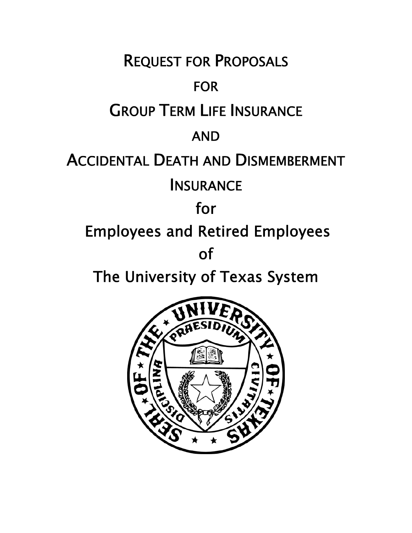REQUEST FOR PROPOSALS FOR GROUP TERM LIFE INSURANCE AND ACCIDENTAL DEATH AND DISMEMBERMENT **INSURANCE** for Employees and Retired Employees of

The University of Texas System

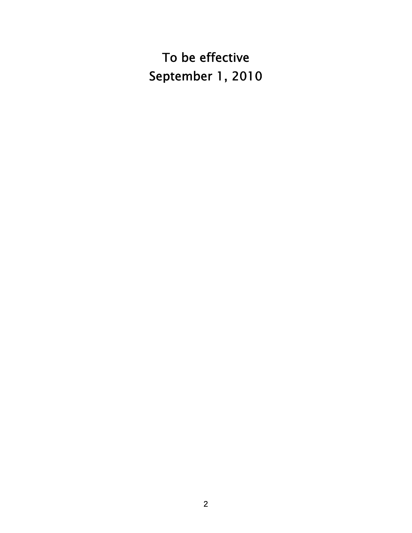To be effective September 1, 2010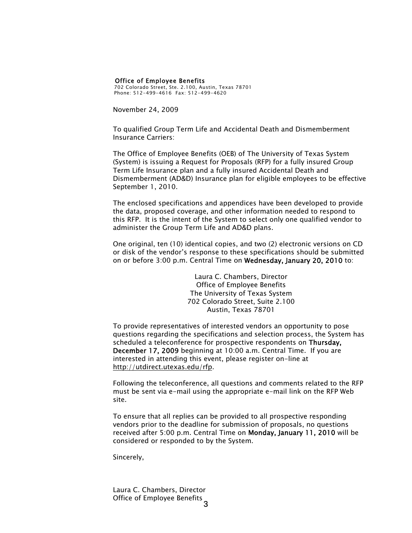#### Office of Employee Benefits

702 Colorado Street, Ste. 2.100, Austin, Texas 78701 Phone: 512-499-4616 Fax: 512-499-4620

November 24, 2009

To qualified Group Term Life and Accidental Death and Dismemberment Insurance Carriers:

The Office of Employee Benefits (OEB) of The University of Texas System (System) is issuing a Request for Proposals (RFP) for a fully insured Group Term Life Insurance plan and a fully insured Accidental Death and Dismemberment (AD&D) Insurance plan for eligible employees to be effective September 1, 2010.

The enclosed specifications and appendices have been developed to provide the data, proposed coverage, and other information needed to respond to this RFP. It is the intent of the System to select only one qualified vendor to administer the Group Term Life and AD&D plans.

One original, ten (10) identical copies, and two (2) electronic versions on CD or disk of the vendor's response to these specifications should be submitted on or before 3:00 p.m. Central Time on Wednesday, January 20, 2010 to:

> Laura C. Chambers, Director Office of Employee Benefits The University of Texas System 702 Colorado Street, Suite 2.100 Austin, Texas 78701

To provide representatives of interested vendors an opportunity to pose questions regarding the specifications and selection process, the System has scheduled a teleconference for prospective respondents on Thursday, December 17, 2009 beginning at 10:00 a.m. Central Time. If you are interested in attending this event, please register on-line at http://utdirect.utexas.edu/rfp.

Following the teleconference, all questions and comments related to the RFP must be sent via e-mail using the appropriate e-mail link on the RFP Web site.

To ensure that all replies can be provided to all prospective responding vendors prior to the deadline for submission of proposals, no questions received after 5:00 p.m. Central Time on Monday, January 11, 2010 will be considered or responded to by the System.

Sincerely,

3 Office of Employee Benefits Laura C. Chambers, Director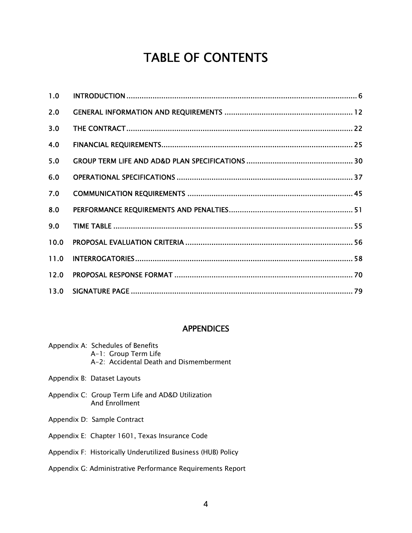# TABLE OF CONTENTS

| 1.0  |  |
|------|--|
| 2.0  |  |
| 3.0  |  |
| 4.0  |  |
| 5.0  |  |
| 6.0  |  |
| 7.0  |  |
| 8.0  |  |
| 9.0  |  |
| 10.0 |  |
| 11.0 |  |
| 12.0 |  |
| 13.0 |  |

#### **APPENDICES**

| Appendix A: Schedules of Benefits       |  |  |
|-----------------------------------------|--|--|
| A-1: Group Term Life                    |  |  |
| A-2: Accidental Death and Dismemberment |  |  |

- Appendix B: Dataset Layouts
- Appendix C: Group Term Life and AD&D Utilization And Enrollment
- Appendix D: Sample Contract
- Appendix E: Chapter 1601, Texas Insurance Code

#### Appendix F: Historically Underutilized Business (HUB) Policy

#### Appendix G: Administrative Performance Requirements Report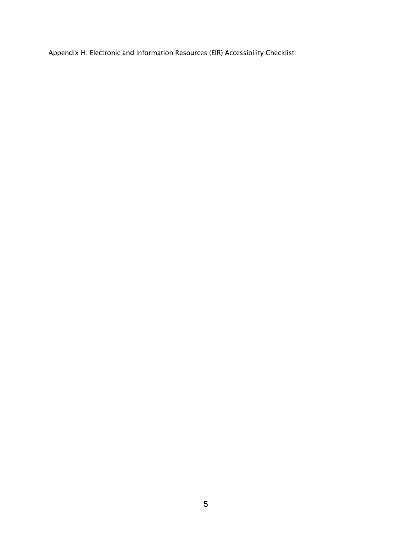Appendix H: Electronic and Information Resources (EIR) Accessibility Checklist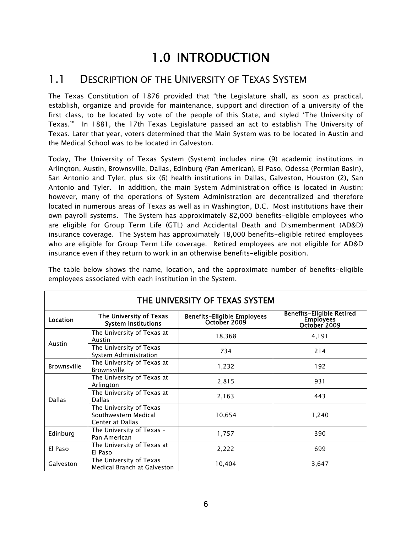# 1.0 INTRODUCTION

#### 1.1 DESCRIPTION OF THE UNIVERSITY OF TEXAS SYSTEM

The Texas Constitution of 1876 provided that "the Legislature shall, as soon as practical, establish, organize and provide for maintenance, support and direction of a university of the first class, to be located by vote of the people of this State, and styled 'The University of Texas.'" In 1881, the 17th Texas Legislature passed an act to establish The University of Texas. Later that year, voters determined that the Main System was to be located in Austin and the Medical School was to be located in Galveston.

Today, The University of Texas System (System) includes nine (9) academic institutions in Arlington, Austin, Brownsville, Dallas, Edinburg (Pan American), El Paso, Odessa (Permian Basin), San Antonio and Tyler, plus six (6) health institutions in Dallas, Galveston, Houston (2), San Antonio and Tyler. In addition, the main System Administration office is located in Austin; however, many of the operations of System Administration are decentralized and therefore located in numerous areas of Texas as well as in Washington, D.C. Most institutions have their own payroll systems. The System has approximately 82,000 benefits-eligible employees who are eligible for Group Term Life (GTL) and Accidental Death and Dismemberment (AD&D) insurance coverage. The System has approximately 18,000 benefits-eligible retired employees who are eligible for Group Term Life coverage. Retired employees are not eligible for AD&D insurance even if they return to work in an otherwise benefits-eligible position.

| THE UNIVERSITY OF TEXAS SYSTEM |                                                                     |                                                    |                                                               |  |  |  |  |
|--------------------------------|---------------------------------------------------------------------|----------------------------------------------------|---------------------------------------------------------------|--|--|--|--|
| Location                       | The University of Texas<br><b>System Institutions</b>               | <b>Benefits-Eligible Employees</b><br>October 2009 | <b>Benefits-Eligible Retired</b><br>Employees<br>October 2009 |  |  |  |  |
|                                | The University of Texas at<br>Austin                                | 18,368                                             | 4,191                                                         |  |  |  |  |
| Austin                         | The University of Texas<br>System Administration                    | 734                                                | 214                                                           |  |  |  |  |
| <b>Brownsville</b>             | The University of Texas at<br>Brownsville                           | 1,232                                              | 192                                                           |  |  |  |  |
|                                | The University of Texas at<br>Arlington                             | 2,815                                              | 931                                                           |  |  |  |  |
| <b>Dallas</b>                  | The University of Texas at<br><b>Dallas</b>                         | 2,163                                              | 443                                                           |  |  |  |  |
|                                | The University of Texas<br>Southwestern Medical<br>Center at Dallas | 10,654                                             | 1,240                                                         |  |  |  |  |
| Edinburg                       | The University of Texas -<br>Pan American                           | 1,757                                              | 390                                                           |  |  |  |  |
| El Paso                        | The University of Texas at<br>El Paso                               | 2,222                                              | 699                                                           |  |  |  |  |
| Galveston                      | The University of Texas<br>Medical Branch at Galveston              | 10,404                                             | 3,647                                                         |  |  |  |  |

The table below shows the name, location, and the approximate number of benefits-eligible employees associated with each institution in the System.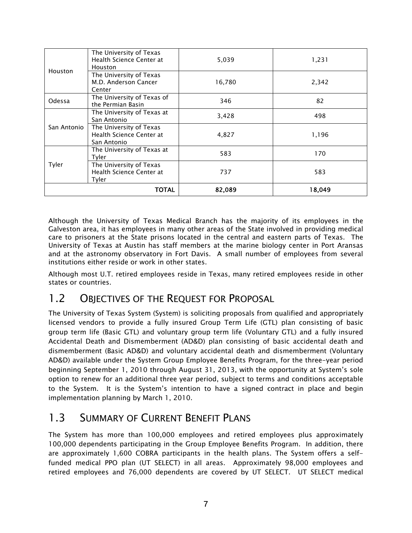|              | The University of Texas<br>Health Science Center at<br><b>Houston</b> | 5,039  | 1,231  |
|--------------|-----------------------------------------------------------------------|--------|--------|
| Houston      | The University of Texas<br>M.D. Anderson Cancer<br>Center             | 16,780 | 2,342  |
| Odessa       | The University of Texas of<br>the Permian Basin                       | 346    | 82     |
|              | The University of Texas at<br>San Antonio                             | 3,428  | 498    |
| San Antonio  | The University of Texas<br>Health Science Center at<br>San Antonio    | 4,827  | 1,196  |
|              | The University of Texas at<br>Tyler                                   | 583    | 170    |
| Tyler        | The University of Texas<br>Health Science Center at<br>Tyler          | 737    | 583    |
| <b>TOTAL</b> |                                                                       | 82,089 | 18,049 |

Although the University of Texas Medical Branch has the majority of its employees in the Galveston area, it has employees in many other areas of the State involved in providing medical care to prisoners at the State prisons located in the central and eastern parts of Texas. The University of Texas at Austin has staff members at the marine biology center in Port Aransas and at the astronomy observatory in Fort Davis. A small number of employees from several institutions either reside or work in other states.

Although most U.T. retired employees reside in Texas, many retired employees reside in other states or countries.

## 1.2 OBJECTIVES OF THE REQUEST FOR PROPOSAL

The University of Texas System (System) is soliciting proposals from qualified and appropriately licensed vendors to provide a fully insured Group Term Life (GTL) plan consisting of basic group term life (Basic GTL) and voluntary group term life (Voluntary GTL) and a fully insured Accidental Death and Dismemberment (AD&D) plan consisting of basic accidental death and dismemberment (Basic AD&D) and voluntary accidental death and dismemberment (Voluntary AD&D) available under the System Group Employee Benefits Program, for the three-year period beginning September 1, 2010 through August 31, 2013, with the opportunity at System's sole option to renew for an additional three year period, subject to terms and conditions acceptable to the System. It is the System's intention to have a signed contract in place and begin implementation planning by March 1, 2010.

## 1.3 SUMMARY OF CURRENT BENEFIT PLANS

The System has more than 100,000 employees and retired employees plus approximately 100,000 dependents participating in the Group Employee Benefits Program. In addition, there are approximately 1,600 COBRA participants in the health plans. The System offers a selffunded medical PPO plan (UT SELECT) in all areas. Approximately 98,000 employees and retired employees and 76,000 dependents are covered by UT SELECT. UT SELECT medical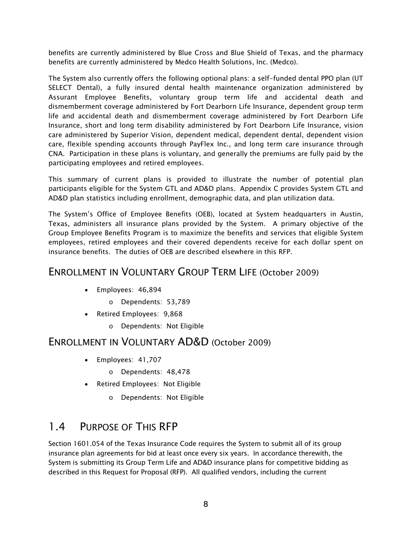benefits are currently administered by Blue Cross and Blue Shield of Texas, and the pharmacy benefits are currently administered by Medco Health Solutions, Inc. (Medco).

The System also currently offers the following optional plans: a self-funded dental PPO plan (UT SELECT Dental), a fully insured dental health maintenance organization administered by Assurant Employee Benefits, voluntary group term life and accidental death and dismemberment coverage administered by Fort Dearborn Life Insurance, dependent group term life and accidental death and dismemberment coverage administered by Fort Dearborn Life Insurance, short and long term disability administered by Fort Dearborn Life Insurance, vision care administered by Superior Vision, dependent medical, dependent dental, dependent vision care, flexible spending accounts through PayFlex Inc., and long term care insurance through CNA. Participation in these plans is voluntary, and generally the premiums are fully paid by the participating employees and retired employees.

This summary of current plans is provided to illustrate the number of potential plan participants eligible for the System GTL and AD&D plans. Appendix C provides System GTL and AD&D plan statistics including enrollment, demographic data, and plan utilization data.

The System's Office of Employee Benefits (OEB), located at System headquarters in Austin, Texas, administers all insurance plans provided by the System. A primary objective of the Group Employee Benefits Program is to maximize the benefits and services that eligible System employees, retired employees and their covered dependents receive for each dollar spent on insurance benefits. The duties of OEB are described elsewhere in this RFP.

#### ENROLLMENT IN VOLUNTARY GROUP TERM LIFE (October 2009)

- Employees: 46,894
	- o Dependents: 53,789
- Retired Employees: 9,868
	- o Dependents: Not Eligible

#### ENROLLMENT IN VOLUNTARY AD&D (October 2009)

- Employees: 41,707
	- o Dependents: 48,478
- Retired Employees: Not Eligible
	- o Dependents: Not Eligible

# 1.4 PURPOSE OF THIS RFP

Section 1601.054 of the Texas Insurance Code requires the System to submit all of its group insurance plan agreements for bid at least once every six years. In accordance therewith, the System is submitting its Group Term Life and AD&D insurance plans for competitive bidding as described in this Request for Proposal (RFP). All qualified vendors, including the current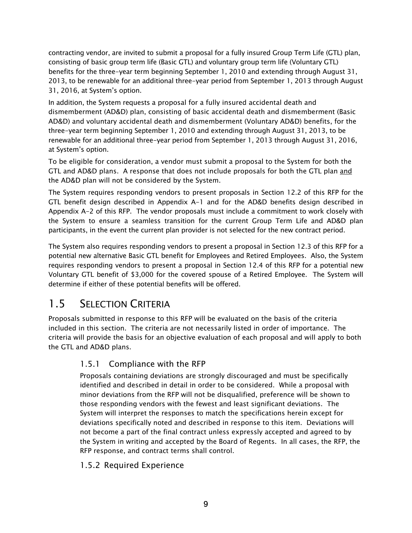contracting vendor, are invited to submit a proposal for a fully insured Group Term Life (GTL) plan, consisting of basic group term life (Basic GTL) and voluntary group term life (Voluntary GTL) benefits for the three-year term beginning September 1, 2010 and extending through August 31, 2013, to be renewable for an additional three-year period from September 1, 2013 through August 31, 2016, at System's option.

In addition, the System requests a proposal for a fully insured accidental death and dismemberment (AD&D) plan, consisting of basic accidental death and dismemberment (Basic AD&D) and voluntary accidental death and dismemberment (Voluntary AD&D) benefits, for the three-year term beginning September 1, 2010 and extending through August 31, 2013, to be renewable for an additional three-year period from September 1, 2013 through August 31, 2016, at System's option.

To be eligible for consideration, a vendor must submit a proposal to the System for both the GTL and AD&D plans. A response that does not include proposals for both the GTL plan and the AD&D plan will not be considered by the System.

The System requires responding vendors to present proposals in Section 12.2 of this RFP for the GTL benefit design described in Appendix A-1 and for the AD&D benefits design described in Appendix A-2 of this RFP. The vendor proposals must include a commitment to work closely with the System to ensure a seamless transition for the current Group Term Life and AD&D plan participants, in the event the current plan provider is not selected for the new contract period.

The System also requires responding vendors to present a proposal in Section 12.3 of this RFP for a potential new alternative Basic GTL benefit for Employees and Retired Employees. Also, the System requires responding vendors to present a proposal in Section 12.4 of this RFP for a potential new Voluntary GTL benefit of \$3,000 for the covered spouse of a Retired Employee. The System will determine if either of these potential benefits will be offered.

# 1.5 SELECTION CRITERIA

Proposals submitted in response to this RFP will be evaluated on the basis of the criteria included in this section. The criteria are not necessarily listed in order of importance. The criteria will provide the basis for an objective evaluation of each proposal and will apply to both the GTL and AD&D plans.

#### 1.5.1 Compliance with the RFP

Proposals containing deviations are strongly discouraged and must be specifically identified and described in detail in order to be considered. While a proposal with minor deviations from the RFP will not be disqualified, preference will be shown to those responding vendors with the fewest and least significant deviations. The System will interpret the responses to match the specifications herein except for deviations specifically noted and described in response to this item. Deviations will not become a part of the final contract unless expressly accepted and agreed to by the System in writing and accepted by the Board of Regents. In all cases, the RFP, the RFP response, and contract terms shall control.

#### 1.5.2 Required Experience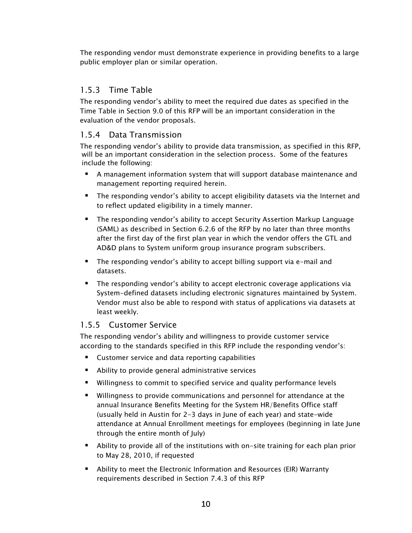The responding vendor must demonstrate experience in providing benefits to a large public employer plan or similar operation.

#### 1.5.3 Time Table

The responding vendor's ability to meet the required due dates as specified in the Time Table in Section 9.0 of this RFP will be an important consideration in the evaluation of the vendor proposals.

#### 1.5.4 Data Transmission

The responding vendor's ability to provide data transmission, as specified in this RFP, will be an important consideration in the selection process. Some of the features include the following:

- A management information system that will support database maintenance and management reporting required herein.
- The responding vendor's ability to accept eligibility datasets via the Internet and to reflect updated eligibility in a timely manner.
- The responding vendor's ability to accept Security Assertion Markup Language (SAML) as described in Section 6.2.6 of the RFP by no later than three months after the first day of the first plan year in which the vendor offers the GTL and AD&D plans to System uniform group insurance program subscribers.
- The responding vendor's ability to accept billing support via e-mail and datasets.
- **The responding vendor's ability to accept electronic coverage applications via** System-defined datasets including electronic signatures maintained by System. Vendor must also be able to respond with status of applications via datasets at least weekly.

#### 1.5.5 Customer Service

The responding vendor's ability and willingness to provide customer service according to the standards specified in this RFP include the responding vendor's:

- **EXTE:** Customer service and data reporting capabilities
- Ability to provide general administrative services
- Willingness to commit to specified service and quality performance levels
- Willingness to provide communications and personnel for attendance at the annual Insurance Benefits Meeting for the System HR/Benefits Office staff (usually held in Austin for 2-3 days in June of each year) and state-wide attendance at Annual Enrollment meetings for employees (beginning in late June through the entire month of July)
- Ability to provide all of the institutions with on-site training for each plan prior to May 28, 2010, if requested
- Ability to meet the Electronic Information and Resources (EIR) Warranty requirements described in Section 7.4.3 of this RFP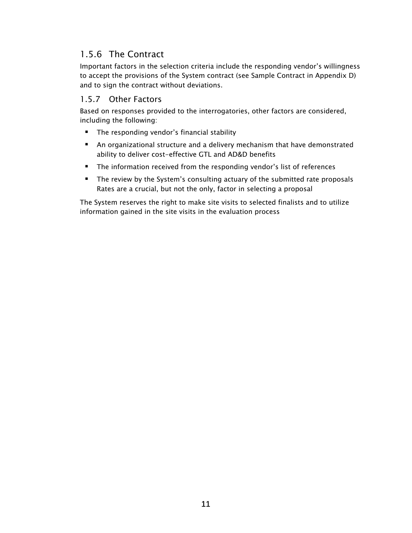#### 1.5.6 The Contract

Important factors in the selection criteria include the responding vendor's willingness to accept the provisions of the System contract (see Sample Contract in Appendix D) and to sign the contract without deviations.

#### 1.5.7 Other Factors

Based on responses provided to the interrogatories, other factors are considered, including the following:

- **The responding vendor's financial stability**
- An organizational structure and a delivery mechanism that have demonstrated ability to deliver cost-effective GTL and AD&D benefits
- **The information received from the responding vendor's list of references**
- **The review by the System's consulting actuary of the submitted rate proposals** Rates are a crucial, but not the only, factor in selecting a proposal

The System reserves the right to make site visits to selected finalists and to utilize information gained in the site visits in the evaluation process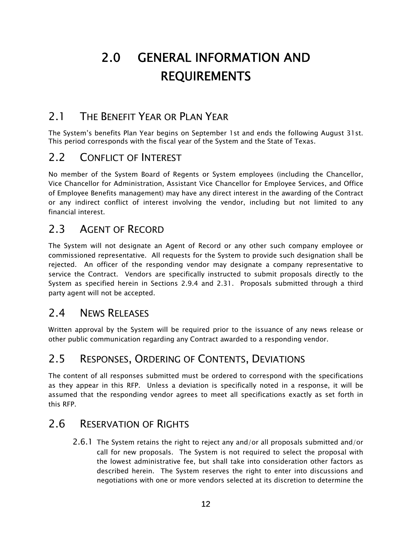# 2.0 GENERAL INFORMATION AND REQUIREMENTS

# 2.1 THE BENEFIT YEAR OR PLAN YEAR

The System's benefits Plan Year begins on September 1st and ends the following August 31st. This period corresponds with the fiscal year of the System and the State of Texas.

## 2.2 CONFLICT OF INTEREST

No member of the System Board of Regents or System employees (including the Chancellor, Vice Chancellor for Administration, Assistant Vice Chancellor for Employee Services, and Office of Employee Benefits management) may have any direct interest in the awarding of the Contract or any indirect conflict of interest involving the vendor, including but not limited to any financial interest.

## 2.3 AGENT OF RECORD

The System will not designate an Agent of Record or any other such company employee or commissioned representative. All requests for the System to provide such designation shall be rejected. An officer of the responding vendor may designate a company representative to service the Contract. Vendors are specifically instructed to submit proposals directly to the System as specified herein in Sections 2.9.4 and 2.31. Proposals submitted through a third party agent will not be accepted.

## 2.4 NEWS RELEASES

Written approval by the System will be required prior to the issuance of any news release or other public communication regarding any Contract awarded to a responding vendor.

# 2.5 RESPONSES, ORDERING OF CONTENTS, DEVIATIONS

The content of all responses submitted must be ordered to correspond with the specifications as they appear in this RFP. Unless a deviation is specifically noted in a response, it will be assumed that the responding vendor agrees to meet all specifications exactly as set forth in this RFP.

#### 2.6 RESERVATION OF RIGHTS

2.6.1 The System retains the right to reject any and/or all proposals submitted and/or call for new proposals. The System is not required to select the proposal with the lowest administrative fee, but shall take into consideration other factors as described herein. The System reserves the right to enter into discussions and negotiations with one or more vendors selected at its discretion to determine the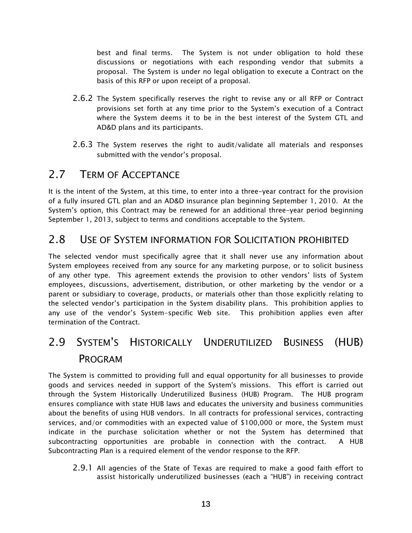best and final terms. The System is not under obligation to hold these discussions or negotiations with each responding vendor that submits a proposal. The System is under no legal obligation to execute a Contract on the basis of this RFP or upon receipt of a proposal.

- 2.6.2 The System specifically reserves the right to revise any or all RFP or Contract provisions set forth at any time prior to the System's execution of a Contract where the System deems it to be in the best interest of the System GTL and AD&D plans and its participants.
- 2.6.3 The System reserves the right to audit/validate all materials and responses submitted with the vendor's proposal.

## 2.7 TERM OF ACCEPTANCE

It is the intent of the System, at this time, to enter into a three-year contract for the provision of a fully insured GTL plan and an AD&D insurance plan beginning September 1, 2010. At the System's option, this Contract may be renewed for an additional three-year period beginning September 1, 2013, subject to terms and conditions acceptable to the System.

#### 2.8 USE OF SYSTEM INFORMATION FOR SOLICITATION PROHIBITED

The selected vendor must specifically agree that it shall never use any information about System employees received from any source for any marketing purpose, or to solicit business of any other type. This agreement extends the provision to other vendors' lists of System employees, discussions, advertisement, distribution, or other marketing by the vendor or a parent or subsidiary to coverage, products, or materials other than those explicitly relating to the selected vendor's participation in the System disability plans. This prohibition applies to any use of the vendor's System-specific Web site. This prohibition applies even after termination of the Contract.

# 2.9 SYSTEM'S HISTORICALLY UNDERUTILIZED BUSINESS (HUB) PROGRAM

The System is committed to providing full and equal opportunity for all businesses to provide goods and services needed in support of the System's missions. This effort is carried out through the System Historically Underutilized Business (HUB) Program. The HUB program ensures compliance with state HUB laws and educates the university and business communities about the benefits of using HUB vendors. In all contracts for professional services, contracting services, and/or commodities with an expected value of \$100,000 or more, the System must indicate in the purchase solicitation whether or not the System has determined that subcontracting opportunities are probable in connection with the contract. A HUB Subcontracting Plan is a required element of the vendor response to the RFP.

2.9.1 All agencies of the State of Texas are required to make a good faith effort to assist historically underutilized businesses (each a "HUB") in receiving contract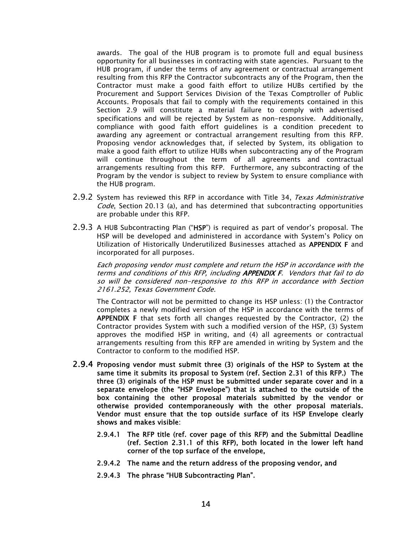awards. The goal of the HUB program is to promote full and equal business opportunity for all businesses in contracting with state agencies. Pursuant to the HUB program, if under the terms of any agreement or contractual arrangement resulting from this RFP the Contractor subcontracts any of the Program, then the Contractor must make a good faith effort to utilize HUBs certified by the Procurement and Support Services Division of the Texas Comptroller of Public Accounts. Proposals that fail to comply with the requirements contained in this Section 2.9 will constitute a material failure to comply with advertised specifications and will be rejected by System as non-responsive. Additionally, compliance with good faith effort guidelines is a condition precedent to awarding any agreement or contractual arrangement resulting from this RFP. Proposing vendor acknowledges that, if selected by System, its obligation to make a good faith effort to utilize HUBs when subcontracting any of the Program will continue throughout the term of all agreements and contractual arrangements resulting from this RFP. Furthermore, any subcontracting of the Program by the vendor is subject to review by System to ensure compliance with the HUB program.

- 2.9.2 System has reviewed this RFP in accordance with Title 34, Texas Administrative Code, Section 20.13 (a), and has determined that subcontracting opportunities are probable under this RFP.
- 2.9.3 A HUB Subcontracting Plan ("HSP") is required as part of vendor's proposal. The HSP will be developed and administered in accordance with System's Policy on Utilization of Historically Underutilized Businesses attached as APPENDIX F and incorporated for all purposes.

Each proposing vendor must complete and return the HSP in accordance with the terms and conditions of this RFP, including APPENDIX F. Vendors that fail to do so will be considered non-responsive to this RFP in accordance with Section 2161.252, Texas Government Code.

The Contractor will not be permitted to change its HSP unless: (1) the Contractor completes a newly modified version of the HSP in accordance with the terms of APPENDIX F that sets forth all changes requested by the Contractor, (2) the Contractor provides System with such a modified version of the HSP, (3) System approves the modified HSP in writing, and (4) all agreements or contractual arrangements resulting from this RFP are amended in writing by System and the Contractor to conform to the modified HSP.

- 2.9.4 Proposing vendor must submit three (3) originals of the HSP to System at the same time it submits its proposal to System (ref. Section 2.31 of this RFP.) The three (3) originals of the HSP must be submitted under separate cover and in a separate envelope (the "HSP Envelope") that is attached to the outside of the box containing the other proposal materials submitted by the vendor or otherwise provided contemporaneously with the other proposal materials. Vendor must ensure that the top outside surface of its HSP Envelope clearly shows and makes visible:
	- 2.9.4.1 The RFP title (ref. cover page of this RFP) and the Submittal Deadline (ref. Section 2.31.1 of this RFP), both located in the lower left hand corner of the top surface of the envelope,
	- 2.9.4.2 The name and the return address of the proposing vendor, and
	- 2.9.4.3 The phrase "HUB Subcontracting Plan".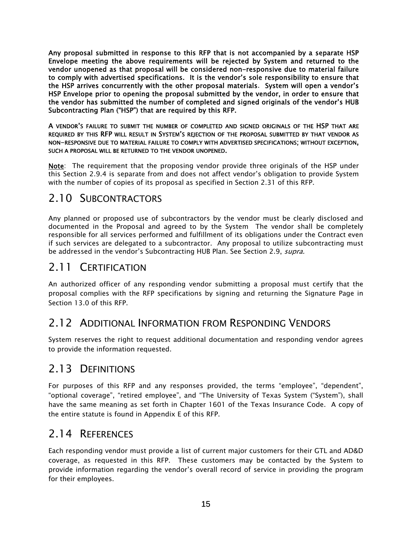Any proposal submitted in response to this RFP that is not accompanied by a separate HSP Envelope meeting the above requirements will be rejected by System and returned to the vendor unopened as that proposal will be considered non-responsive due to material failure to comply with advertised specifications. It is the vendor's sole responsibility to ensure that the HSP arrives concurrently with the other proposal materials. System will open a vendor's HSP Envelope prior to opening the proposal submitted by the vendor, in order to ensure that the vendor has submitted the number of completed and signed originals of the vendor's HUB Subcontracting Plan ("HSP") that are required by this RFP.

A VENDOR'S FAILURE TO SUBMIT THE NUMBER OF COMPLETED AND SIGNED ORIGINALS OF THE HSP THAT ARE REQUIRED BY THIS RFP WILL RESULT IN SYSTEM'S REJECTION OF THE PROPOSAL SUBMITTED BY THAT VENDOR AS NON-RESPONSIVE DUE TO MATERIAL FAILURE TO COMPLY WITH ADVERTISED SPECIFICATIONS; WITHOUT EXCEPTION, SUCH A PROPOSAL WILL BE RETURNED TO THE VENDOR UNOPENED.

Note: The requirement that the proposing vendor provide three originals of the HSP under this Section 2.9.4 is separate from and does not affect vendor's obligation to provide System with the number of copies of its proposal as specified in Section 2.31 of this RFP.

## 2.10 SUBCONTRACTORS

Any planned or proposed use of subcontractors by the vendor must be clearly disclosed and documented in the Proposal and agreed to by the System The vendor shall be completely responsible for all services performed and fulfillment of its obligations under the Contract even if such services are delegated to a subcontractor. Any proposal to utilize subcontracting must be addressed in the vendor's Subcontracting HUB Plan. See Section 2.9, supra.

## 2.11 CERTIFICATION

An authorized officer of any responding vendor submitting a proposal must certify that the proposal complies with the RFP specifications by signing and returning the Signature Page in Section 13.0 of this RFP.

# 2.12 ADDITIONAL INFORMATION FROM RESPONDING VENDORS

System reserves the right to request additional documentation and responding vendor agrees to provide the information requested.

# 2.13 DEFINITIONS

For purposes of this RFP and any responses provided, the terms "employee", "dependent", "optional coverage", "retired employee", and "The University of Texas System ("System"), shall have the same meaning as set forth in Chapter 1601 of the Texas Insurance Code. A copy of the entire statute is found in Appendix E of this RFP.

## 2.14 REFERENCES

Each responding vendor must provide a list of current major customers for their GTL and AD&D coverage, as requested in this RFP. These customers may be contacted by the System to provide information regarding the vendor's overall record of service in providing the program for their employees.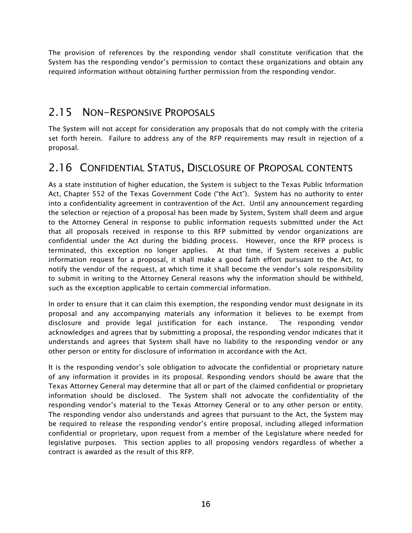The provision of references by the responding vendor shall constitute verification that the System has the responding vendor's permission to contact these organizations and obtain any required information without obtaining further permission from the responding vendor.

# 2.15 NON-RESPONSIVE PROPOSALS

The System will not accept for consideration any proposals that do not comply with the criteria set forth herein. Failure to address any of the RFP requirements may result in rejection of a proposal.

# 2.16 CONFIDENTIAL STATUS, DISCLOSURE OF PROPOSAL CONTENTS

As a state institution of higher education, the System is subject to the Texas Public Information Act, Chapter 552 of the Texas Government Code ("the Act"). System has no authority to enter into a confidentiality agreement in contravention of the Act. Until any announcement regarding the selection or rejection of a proposal has been made by System, System shall deem and argue to the Attorney General in response to public information requests submitted under the Act that all proposals received in response to this RFP submitted by vendor organizations are confidential under the Act during the bidding process. However, once the RFP process is terminated, this exception no longer applies. At that time, if System receives a public information request for a proposal, it shall make a good faith effort pursuant to the Act, to notify the vendor of the request, at which time it shall become the vendor's sole responsibility to submit in writing to the Attorney General reasons why the information should be withheld, such as the exception applicable to certain commercial information.

In order to ensure that it can claim this exemption, the responding vendor must designate in its proposal and any accompanying materials any information it believes to be exempt from disclosure and provide legal justification for each instance. The responding vendor acknowledges and agrees that by submitting a proposal, the responding vendor indicates that it understands and agrees that System shall have no liability to the responding vendor or any other person or entity for disclosure of information in accordance with the Act.

It is the responding vendor's sole obligation to advocate the confidential or proprietary nature of any information it provides in its proposal. Responding vendors should be aware that the Texas Attorney General may determine that all or part of the claimed confidential or proprietary information should be disclosed. The System shall not advocate the confidentiality of the responding vendor's material to the Texas Attorney General or to any other person or entity. The responding vendor also understands and agrees that pursuant to the Act, the System may be required to release the responding vendor's entire proposal, including alleged information confidential or proprietary, upon request from a member of the Legislature where needed for legislative purposes. This section applies to all proposing vendors regardless of whether a contract is awarded as the result of this RFP.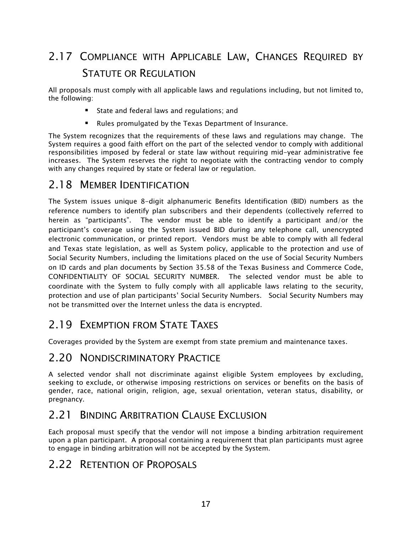# 2.17 COMPLIANCE WITH APPLICABLE LAW, CHANGES REQUIRED BY STATUTE OR REGULATION

All proposals must comply with all applicable laws and regulations including, but not limited to, the following:

- **State and federal laws and regulations; and**
- Rules promulgated by the Texas Department of Insurance.

The System recognizes that the requirements of these laws and regulations may change. The System requires a good faith effort on the part of the selected vendor to comply with additional responsibilities imposed by federal or state law without requiring mid-year administrative fee increases. The System reserves the right to negotiate with the contracting vendor to comply with any changes required by state or federal law or regulation.

#### 2.18 MEMBER IDENTIFICATION

The System issues unique 8-digit alphanumeric Benefits Identification (BID) numbers as the reference numbers to identify plan subscribers and their dependents (collectively referred to herein as "participants". The vendor must be able to identify a participant and/or the participant's coverage using the System issued BID during any telephone call, unencrypted electronic communication, or printed report. Vendors must be able to comply with all federal and Texas state legislation, as well as System policy, applicable to the protection and use of Social Security Numbers, including the limitations placed on the use of Social Security Numbers on ID cards and plan documents by Section 35.58 of the Texas Business and Commerce Code, CONFIDENTIALITY OF SOCIAL SECURITY NUMBER. The selected vendor must be able to coordinate with the System to fully comply with all applicable laws relating to the security, protection and use of plan participants' Social Security Numbers. Social Security Numbers may not be transmitted over the Internet unless the data is encrypted.

# 2.19 EXEMPTION FROM STATE TAXES

Coverages provided by the System are exempt from state premium and maintenance taxes.

#### 2.20 NONDISCRIMINATORY PRACTICE

A selected vendor shall not discriminate against eligible System employees by excluding, seeking to exclude, or otherwise imposing restrictions on services or benefits on the basis of gender, race, national origin, religion, age, sexual orientation, veteran status, disability, or pregnancy.

## 2.21 BINDING ARBITRATION CLAUSE EXCLUSION

Each proposal must specify that the vendor will not impose a binding arbitration requirement upon a plan participant. A proposal containing a requirement that plan participants must agree to engage in binding arbitration will not be accepted by the System.

## 2.22 RETENTION OF PROPOSALS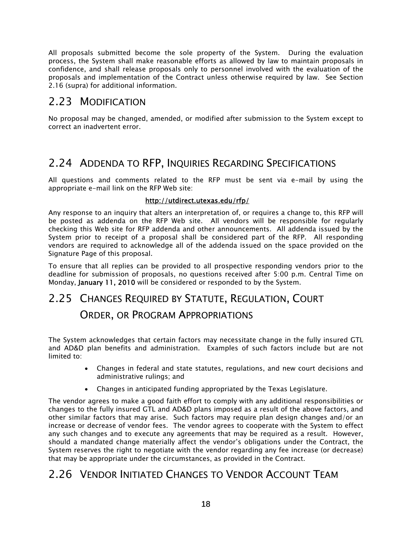All proposals submitted become the sole property of the System. During the evaluation process, the System shall make reasonable efforts as allowed by law to maintain proposals in confidence, and shall release proposals only to personnel involved with the evaluation of the proposals and implementation of the Contract unless otherwise required by law. See Section 2.16 (supra) for additional information.

## 2.23 MODIFICATION

No proposal may be changed, amended, or modified after submission to the System except to correct an inadvertent error.

# 2.24 ADDENDA TO RFP, INQUIRIES REGARDING SPECIFICATIONS

All questions and comments related to the RFP must be sent via e-mail by using the appropriate e-mail link on the RFP Web site:

#### http://utdirect.utexas.edu/rfp/

Any response to an inquiry that alters an interpretation of, or requires a change to, this RFP will be posted as addenda on the RFP Web site. All vendors will be responsible for regularly checking this Web site for RFP addenda and other announcements. All addenda issued by the System prior to receipt of a proposal shall be considered part of the RFP. All responding vendors are required to acknowledge all of the addenda issued on the space provided on the Signature Page of this proposal.

To ensure that all replies can be provided to all prospective responding vendors prior to the deadline for submission of proposals, no questions received after 5:00 p.m. Central Time on Monday, January 11, 2010 will be considered or responded to by the System.

# 2.25 CHANGES REQUIRED BY STATUTE, REGULATION, COURT

#### ORDER, OR PROGRAM APPROPRIATIONS

The System acknowledges that certain factors may necessitate change in the fully insured GTL and AD&D plan benefits and administration. Examples of such factors include but are not limited to:

- Changes in federal and state statutes, regulations, and new court decisions and administrative rulings; and
- Changes in anticipated funding appropriated by the Texas Legislature.

The vendor agrees to make a good faith effort to comply with any additional responsibilities or changes to the fully insured GTL and AD&D plans imposed as a result of the above factors, and other similar factors that may arise. Such factors may require plan design changes and/or an increase or decrease of vendor fees. The vendor agrees to cooperate with the System to effect any such changes and to execute any agreements that may be required as a result. However, should a mandated change materially affect the vendor's obligations under the Contract, the System reserves the right to negotiate with the vendor regarding any fee increase (or decrease) that may be appropriate under the circumstances, as provided in the Contract.

## 2.26 VENDOR INITIATED CHANGES TO VENDOR ACCOUNT TEAM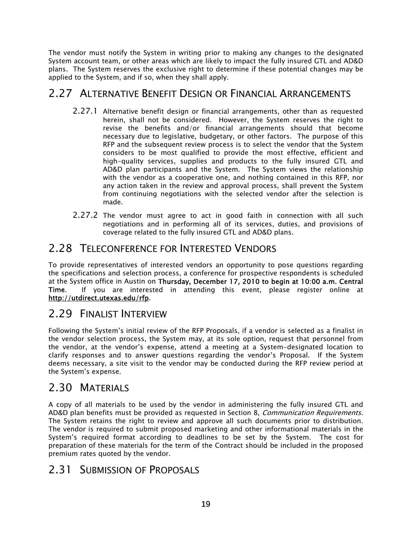The vendor must notify the System in writing prior to making any changes to the designated System account team, or other areas which are likely to impact the fully insured GTL and AD&D plans. The System reserves the exclusive right to determine if these potential changes may be applied to the System, and if so, when they shall apply.

## 2.27 ALTERNATIVE BENEFIT DESIGN OR FINANCIAL ARRANGEMENTS

- 2.27.1 Alternative benefit design or financial arrangements, other than as requested herein, shall not be considered. However, the System reserves the right to revise the benefits and/or financial arrangements should that become necessary due to legislative, budgetary, or other factors. The purpose of this RFP and the subsequent review process is to select the vendor that the System considers to be most qualified to provide the most effective, efficient and high-quality services, supplies and products to the fully insured GTL and AD&D plan participants and the System. The System views the relationship with the vendor as a cooperative one, and nothing contained in this RFP, nor any action taken in the review and approval process, shall prevent the System from continuing negotiations with the selected vendor after the selection is made.
- 2.27.2 The vendor must agree to act in good faith in connection with all such negotiations and in performing all of its services, duties, and provisions of coverage related to the fully insured GTL and AD&D plans.

# 2.28 TELECONFERENCE FOR INTERESTED VENDORS

To provide representatives of interested vendors an opportunity to pose questions regarding the specifications and selection process, a conference for prospective respondents is scheduled at the System office in Austin on Thursday, December 17, 2010 to begin at 10:00 a.m. Central Time. If you are interested in attending this event, please register online at http://utdirect.utexas.edu/rfp.

# 2.29 FINALIST INTERVIEW

Following the System's initial review of the RFP Proposals, if a vendor is selected as a finalist in the vendor selection process, the System may, at its sole option, request that personnel from the vendor, at the vendor's expense, attend a meeting at a System-designated location to clarify responses and to answer questions regarding the vendor's Proposal. If the System deems necessary, a site visit to the vendor may be conducted during the RFP review period at the System's expense.

# 2.30 MATERIALS

A copy of all materials to be used by the vendor in administering the fully insured GTL and AD&D plan benefits must be provided as requested in Section 8, *Communication Requirements*. The System retains the right to review and approve all such documents prior to distribution. The vendor is required to submit proposed marketing and other informational materials in the System's required format according to deadlines to be set by the System. The cost for preparation of these materials for the term of the Contract should be included in the proposed premium rates quoted by the vendor.

## 2.31 SUBMISSION OF PROPOSALS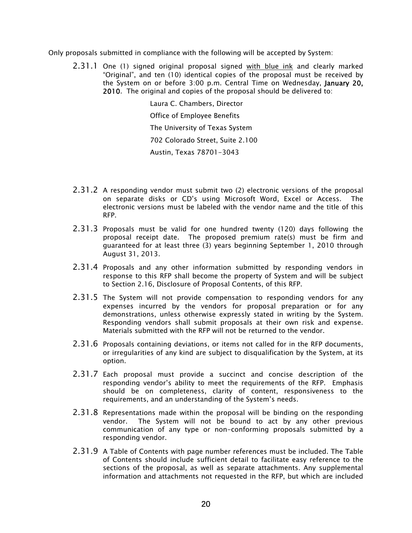Only proposals submitted in compliance with the following will be accepted by System:

2.31.1 One (1) signed original proposal signed with blue ink and clearly marked "Original", and ten (10) identical copies of the proposal must be received by the System on or before 3:00 p.m. Central Time on Wednesday, January 20, 2010. The original and copies of the proposal should be delivered to:

> Laura C. Chambers, Director Office of Employee Benefits The University of Texas System 702 Colorado Street, Suite 2.100 Austin, Texas 78701-3043

- 2.31.2 A responding vendor must submit two (2) electronic versions of the proposal on separate disks or CD's using Microsoft Word, Excel or Access. The electronic versions must be labeled with the vendor name and the title of this RFP.
- 2.31.3 Proposals must be valid for one hundred twenty (120) days following the proposal receipt date. The proposed premium rate(s) must be firm and guaranteed for at least three (3) years beginning September 1, 2010 through August 31, 2013.
- 2.31.4 Proposals and any other information submitted by responding vendors in response to this RFP shall become the property of System and will be subject to Section 2.16, Disclosure of Proposal Contents, of this RFP.
- 2.31.5 The System will not provide compensation to responding vendors for any expenses incurred by the vendors for proposal preparation or for any demonstrations, unless otherwise expressly stated in writing by the System. Responding vendors shall submit proposals at their own risk and expense. Materials submitted with the RFP will not be returned to the vendor.
- 2.31.6 Proposals containing deviations, or items not called for in the RFP documents, or irregularities of any kind are subject to disqualification by the System, at its option.
- 2.31.7 Each proposal must provide a succinct and concise description of the responding vendor's ability to meet the requirements of the RFP. Emphasis should be on completeness, clarity of content, responsiveness to the requirements, and an understanding of the System's needs.
- 2.31.8 Representations made within the proposal will be binding on the responding vendor. The System will not be bound to act by any other previous communication of any type or non-conforming proposals submitted by a responding vendor.
- 2.31.9 A Table of Contents with page number references must be included. The Table of Contents should include sufficient detail to facilitate easy reference to the sections of the proposal, as well as separate attachments. Any supplemental information and attachments not requested in the RFP, but which are included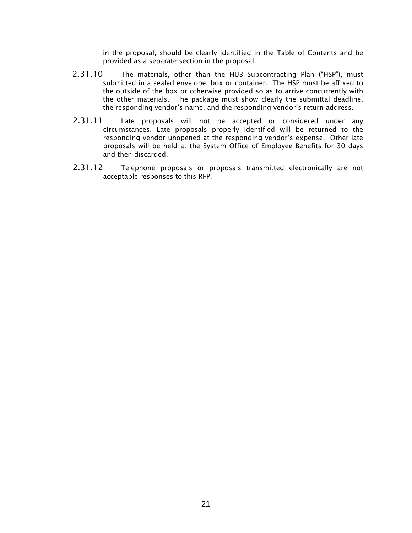in the proposal, should be clearly identified in the Table of Contents and be provided as a separate section in the proposal.

- 2.31.10 The materials, other than the HUB Subcontracting Plan ("HSP"), must submitted in a sealed envelope, box or container. The HSP must be affixed to the outside of the box or otherwise provided so as to arrive concurrently with the other materials. The package must show clearly the submittal deadline, the responding vendor's name, and the responding vendor's return address.
- 2.31.11 Late proposals will not be accepted or considered under any circumstances. Late proposals properly identified will be returned to the responding vendor unopened at the responding vendor's expense. Other late proposals will be held at the System Office of Employee Benefits for 30 days and then discarded.
- 2.31.12 Telephone proposals or proposals transmitted electronically are not acceptable responses to this RFP.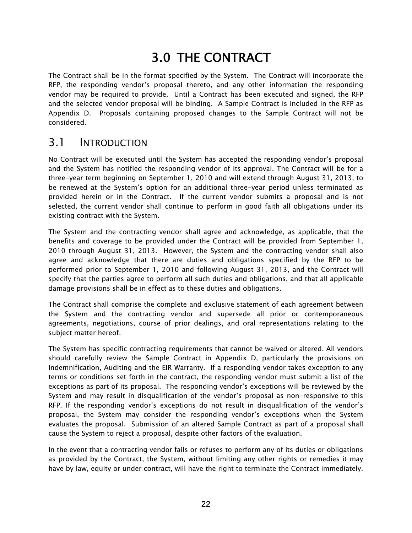# 3.0 THE CONTRACT

The Contract shall be in the format specified by the System. The Contract will incorporate the RFP, the responding vendor's proposal thereto, and any other information the responding vendor may be required to provide. Until a Contract has been executed and signed, the RFP and the selected vendor proposal will be binding. A Sample Contract is included in the RFP as Appendix D. Proposals containing proposed changes to the Sample Contract will not be considered.

#### 3.1 INTRODUCTION

No Contract will be executed until the System has accepted the responding vendor's proposal and the System has notified the responding vendor of its approval. The Contract will be for a three-year term beginning on September 1, 2010 and will extend through August 31, 2013, to be renewed at the System's option for an additional three-year period unless terminated as provided herein or in the Contract. If the current vendor submits a proposal and is not selected, the current vendor shall continue to perform in good faith all obligations under its existing contract with the System.

The System and the contracting vendor shall agree and acknowledge, as applicable, that the benefits and coverage to be provided under the Contract will be provided from September 1, 2010 through August 31, 2013. However, the System and the contracting vendor shall also agree and acknowledge that there are duties and obligations specified by the RFP to be performed prior to September 1, 2010 and following August 31, 2013, and the Contract will specify that the parties agree to perform all such duties and obligations, and that all applicable damage provisions shall be in effect as to these duties and obligations.

The Contract shall comprise the complete and exclusive statement of each agreement between the System and the contracting vendor and supersede all prior or contemporaneous agreements, negotiations, course of prior dealings, and oral representations relating to the subject matter hereof.

The System has specific contracting requirements that cannot be waived or altered. All vendors should carefully review the Sample Contract in Appendix D, particularly the provisions on Indemnification, Auditing and the EIR Warranty. If a responding vendor takes exception to any terms or conditions set forth in the contract, the responding vendor must submit a list of the exceptions as part of its proposal. The responding vendor's exceptions will be reviewed by the System and may result in disqualification of the vendor's proposal as non-responsive to this RFP. If the responding vendor's exceptions do not result in disqualification of the vendor's proposal, the System may consider the responding vendor's exceptions when the System evaluates the proposal. Submission of an altered Sample Contract as part of a proposal shall cause the System to reject a proposal, despite other factors of the evaluation.

In the event that a contracting vendor fails or refuses to perform any of its duties or obligations as provided by the Contract, the System, without limiting any other rights or remedies it may have by law, equity or under contract, will have the right to terminate the Contract immediately.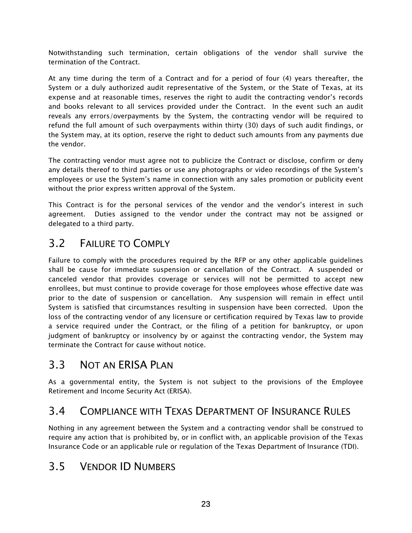Notwithstanding such termination, certain obligations of the vendor shall survive the termination of the Contract.

At any time during the term of a Contract and for a period of four (4) years thereafter, the System or a duly authorized audit representative of the System, or the State of Texas, at its expense and at reasonable times, reserves the right to audit the contracting vendor's records and books relevant to all services provided under the Contract. In the event such an audit reveals any errors/overpayments by the System, the contracting vendor will be required to refund the full amount of such overpayments within thirty (30) days of such audit findings, or the System may, at its option, reserve the right to deduct such amounts from any payments due the vendor.

The contracting vendor must agree not to publicize the Contract or disclose, confirm or deny any details thereof to third parties or use any photographs or video recordings of the System's employees or use the System's name in connection with any sales promotion or publicity event without the prior express written approval of the System.

This Contract is for the personal services of the vendor and the vendor's interest in such agreement. Duties assigned to the vendor under the contract may not be assigned or delegated to a third party.

# 3.2 FAILURE TO COMPLY

Failure to comply with the procedures required by the RFP or any other applicable guidelines shall be cause for immediate suspension or cancellation of the Contract. A suspended or canceled vendor that provides coverage or services will not be permitted to accept new enrollees, but must continue to provide coverage for those employees whose effective date was prior to the date of suspension or cancellation. Any suspension will remain in effect until System is satisfied that circumstances resulting in suspension have been corrected. Upon the loss of the contracting vendor of any licensure or certification required by Texas law to provide a service required under the Contract, or the filing of a petition for bankruptcy, or upon judgment of bankruptcy or insolvency by or against the contracting vendor, the System may terminate the Contract for cause without notice.

# 3.3 NOT AN FRISA PLAN

As a governmental entity, the System is not subject to the provisions of the Employee Retirement and Income Security Act (ERISA).

# 3.4 COMPLIANCE WITH TEXAS DEPARTMENT OF INSURANCE RULES

Nothing in any agreement between the System and a contracting vendor shall be construed to require any action that is prohibited by, or in conflict with, an applicable provision of the Texas Insurance Code or an applicable rule or regulation of the Texas Department of Insurance (TDI).

# 3.5 VENDOR ID NUMBERS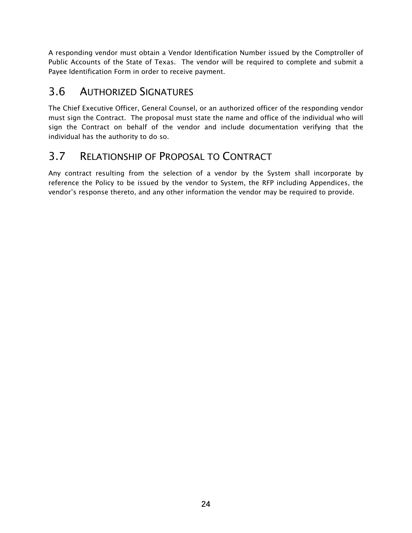A responding vendor must obtain a Vendor Identification Number issued by the Comptroller of Public Accounts of the State of Texas. The vendor will be required to complete and submit a Payee Identification Form in order to receive payment.

# 3.6 AUTHORIZED SIGNATURES

The Chief Executive Officer, General Counsel, or an authorized officer of the responding vendor must sign the Contract. The proposal must state the name and office of the individual who will sign the Contract on behalf of the vendor and include documentation verifying that the individual has the authority to do so.

# 3.7 RELATIONSHIP OF PROPOSAL TO CONTRACT

Any contract resulting from the selection of a vendor by the System shall incorporate by reference the Policy to be issued by the vendor to System, the RFP including Appendices, the vendor's response thereto, and any other information the vendor may be required to provide.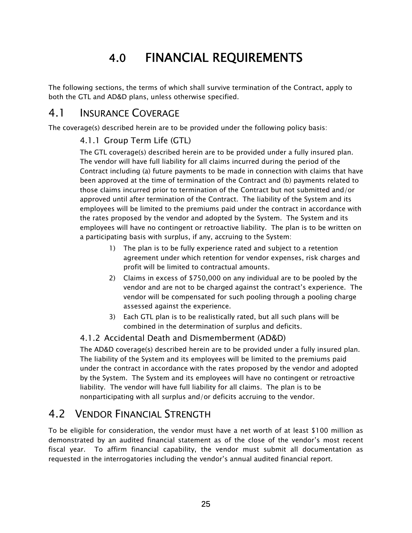# 4.0 FINANCIAL REQUIREMENTS

The following sections, the terms of which shall survive termination of the Contract, apply to both the GTL and AD&D plans, unless otherwise specified.

#### 4.1 INSURANCE COVERAGE

The coverage(s) described herein are to be provided under the following policy basis:

#### 4.1.1 Group Term Life (GTL)

The GTL coverage(s) described herein are to be provided under a fully insured plan. The vendor will have full liability for all claims incurred during the period of the Contract including (a) future payments to be made in connection with claims that have been approved at the time of termination of the Contract and (b) payments related to those claims incurred prior to termination of the Contract but not submitted and/or approved until after termination of the Contract. The liability of the System and its employees will be limited to the premiums paid under the contract in accordance with the rates proposed by the vendor and adopted by the System. The System and its employees will have no contingent or retroactive liability. The plan is to be written on a participating basis with surplus, if any, accruing to the System:

- 1) The plan is to be fully experience rated and subject to a retention agreement under which retention for vendor expenses, risk charges and profit will be limited to contractual amounts.
- 2) Claims in excess of \$750,000 on any individual are to be pooled by the vendor and are not to be charged against the contract's experience. The vendor will be compensated for such pooling through a pooling charge assessed against the experience.
- 3) Each GTL plan is to be realistically rated, but all such plans will be combined in the determination of surplus and deficits.

#### 4.1.2 Accidental Death and Dismemberment (AD&D)

The AD&D coverage(s) described herein are to be provided under a fully insured plan. The liability of the System and its employees will be limited to the premiums paid under the contract in accordance with the rates proposed by the vendor and adopted by the System. The System and its employees will have no contingent or retroactive liability. The vendor will have full liability for all claims. The plan is to be nonparticipating with all surplus and/or deficits accruing to the vendor.

# 4.2 VENDOR FINANCIAL STRENGTH

To be eligible for consideration, the vendor must have a net worth of at least \$100 million as demonstrated by an audited financial statement as of the close of the vendor's most recent fiscal year. To affirm financial capability, the vendor must submit all documentation as requested in the interrogatories including the vendor's annual audited financial report.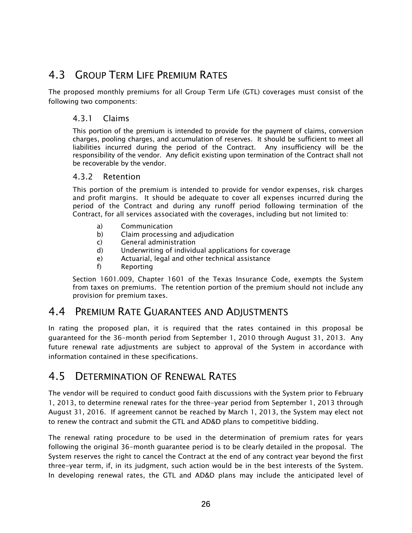# 4.3 GROUP TERM LIFE PREMIUM RATES

The proposed monthly premiums for all Group Term Life (GTL) coverages must consist of the following two components:

#### 4.3.1 Claims

This portion of the premium is intended to provide for the payment of claims, conversion charges, pooling charges, and accumulation of reserves. It should be sufficient to meet all liabilities incurred during the period of the Contract. Any insufficiency will be the responsibility of the vendor. Any deficit existing upon termination of the Contract shall not be recoverable by the vendor.

#### 4.3.2 Retention

This portion of the premium is intended to provide for vendor expenses, risk charges and profit margins. It should be adequate to cover all expenses incurred during the period of the Contract and during any runoff period following termination of the Contract, for all services associated with the coverages, including but not limited to:

- a) Communication
- b) Claim processing and adjudication
- c) General administration
- d) Underwriting of individual applications for coverage
- e) Actuarial, legal and other technical assistance
- f) Reporting

Section 1601.009, Chapter 1601 of the Texas Insurance Code, exempts the System from taxes on premiums. The retention portion of the premium should not include any provision for premium taxes.

#### 4.4 PREMIUM RATE GUARANTEES AND ADJUSTMENTS

In rating the proposed plan, it is required that the rates contained in this proposal be guaranteed for the 36-month period from September 1, 2010 through August 31, 2013. Any future renewal rate adjustments are subject to approval of the System in accordance with information contained in these specifications.

#### 4.5 DETERMINATION OF RENEWAL RATES

The vendor will be required to conduct good faith discussions with the System prior to February 1, 2013, to determine renewal rates for the three-year period from September 1, 2013 through August 31, 2016. If agreement cannot be reached by March 1, 2013, the System may elect not to renew the contract and submit the GTL and AD&D plans to competitive bidding.

The renewal rating procedure to be used in the determination of premium rates for years following the original 36-month guarantee period is to be clearly detailed in the proposal. The System reserves the right to cancel the Contract at the end of any contract year beyond the first three-year term, if, in its judgment, such action would be in the best interests of the System. In developing renewal rates, the GTL and AD&D plans may include the anticipated level of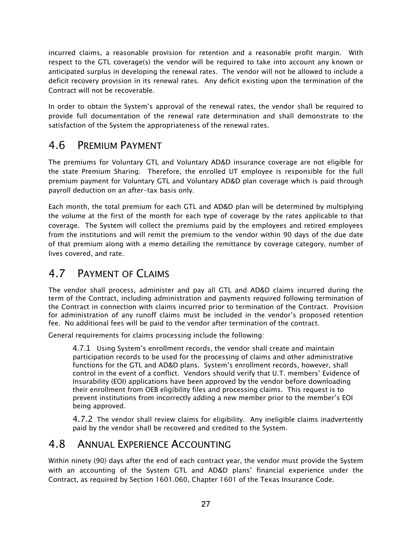incurred claims, a reasonable provision for retention and a reasonable profit margin. With respect to the GTL coverage(s) the vendor will be required to take into account any known or anticipated surplus in developing the renewal rates. The vendor will not be allowed to include a deficit recovery provision in its renewal rates. Any deficit existing upon the termination of the Contract will not be recoverable.

In order to obtain the System's approval of the renewal rates, the vendor shall be required to provide full documentation of the renewal rate determination and shall demonstrate to the satisfaction of the System the appropriateness of the renewal rates.

## 4.6 PREMIUM PAYMENT

The premiums for Voluntary GTL and Voluntary AD&D insurance coverage are not eligible for the state Premium Sharing. Therefore, the enrolled UT employee is responsible for the full premium payment for Voluntary GTL and Voluntary AD&D plan coverage which is paid through payroll deduction on an after-tax basis only.

Each month, the total premium for each GTL and AD&D plan will be determined by multiplying the volume at the first of the month for each type of coverage by the rates applicable to that coverage. The System will collect the premiums paid by the employees and retired employees from the institutions and will remit the premium to the vendor within 90 days of the due date of that premium along with a memo detailing the remittance by coverage category, number of lives covered, and rate.

# 4.7 PAYMENT OF CLAIMS

The vendor shall process, administer and pay all GTL and AD&D claims incurred during the term of the Contract, including administration and payments required following termination of the Contract in connection with claims incurred prior to termination of the Contract. Provision for administration of any runoff claims must be included in the vendor's proposed retention fee. No additional fees will be paid to the vendor after termination of the contract.

General requirements for claims processing include the following:

4.7.1 Using System's enrollment records, the vendor shall create and maintain participation records to be used for the processing of claims and other administrative functions for the GTL and AD&D plans. System's enrollment records, however, shall control in the event of a conflict. Vendors should verify that U.T. members' Evidence of Insurability (EOI) applications have been approved by the vendor before downloading their enrollment from OEB eligibility files and processing claims. This request is to prevent institutions from incorrectly adding a new member prior to the member's EOI being approved.

4.7.2 The vendor shall review claims for eligibility. Any ineligible claims inadvertently paid by the vendor shall be recovered and credited to the System.

## 4.8 ANNUAL EXPERIENCE ACCOUNTING

Within ninety (90) days after the end of each contract year, the vendor must provide the System with an accounting of the System GTL and AD&D plans' financial experience under the Contract, as required by Section 1601.060, Chapter 1601 of the Texas Insurance Code.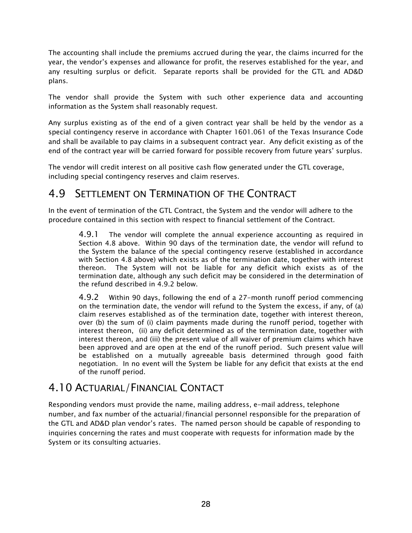The accounting shall include the premiums accrued during the year, the claims incurred for the year, the vendor's expenses and allowance for profit, the reserves established for the year, and any resulting surplus or deficit. Separate reports shall be provided for the GTL and AD&D plans.

The vendor shall provide the System with such other experience data and accounting information as the System shall reasonably request.

Any surplus existing as of the end of a given contract year shall be held by the vendor as a special contingency reserve in accordance with Chapter 1601.061 of the Texas Insurance Code and shall be available to pay claims in a subsequent contract year. Any deficit existing as of the end of the contract year will be carried forward for possible recovery from future years' surplus.

The vendor will credit interest on all positive cash flow generated under the GTL coverage, including special contingency reserves and claim reserves.

## 4.9 SETTLEMENT ON TERMINATION OF THE CONTRACT

In the event of termination of the GTL Contract, the System and the vendor will adhere to the procedure contained in this section with respect to financial settlement of the Contract.

4.9.1 The vendor will complete the annual experience accounting as required in Section 4.8 above. Within 90 days of the termination date, the vendor will refund to the System the balance of the special contingency reserve (established in accordance with Section 4.8 above) which exists as of the termination date, together with interest thereon. The System will not be liable for any deficit which exists as of the termination date, although any such deficit may be considered in the determination of the refund described in 4.9.2 below.

 4.9.2 Within 90 days, following the end of a 27-month runoff period commencing on the termination date, the vendor will refund to the System the excess, if any, of (a) claim reserves established as of the termination date, together with interest thereon, over (b) the sum of (i) claim payments made during the runoff period, together with interest thereon, (ii) any deficit determined as of the termination date, together with interest thereon, and (iii) the present value of all waiver of premium claims which have been approved and are open at the end of the runoff period. Such present value will be established on a mutually agreeable basis determined through good faith negotiation. In no event will the System be liable for any deficit that exists at the end of the runoff period.

# 4.10 ACTUARIAL/FINANCIAL CONTACT

Responding vendors must provide the name, mailing address, e-mail address, telephone number, and fax number of the actuarial/financial personnel responsible for the preparation of the GTL and AD&D plan vendor's rates. The named person should be capable of responding to inquiries concerning the rates and must cooperate with requests for information made by the System or its consulting actuaries.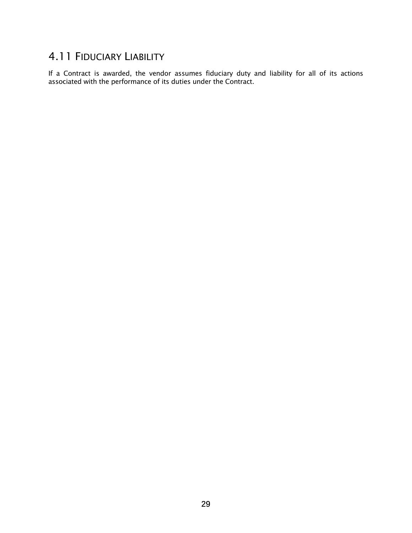## 4.11 FIDUCIARY LIABILITY

If a Contract is awarded, the vendor assumes fiduciary duty and liability for all of its actions associated with the performance of its duties under the Contract.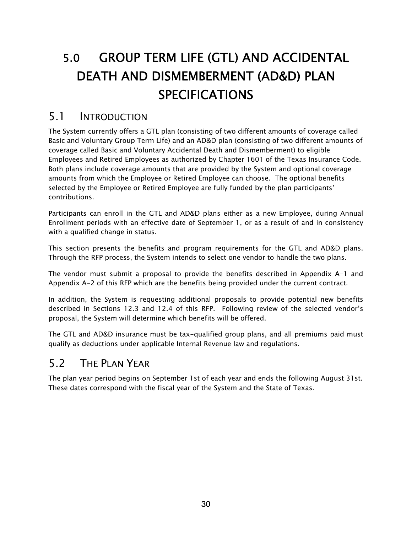# 5.0 GROUP TERM LIFE (GTL) AND ACCIDENTAL DEATH AND DISMEMBERMENT (AD&D) PLAN **SPECIFICATIONS**

#### 5.1 INTRODUCTION

The System currently offers a GTL plan (consisting of two different amounts of coverage called Basic and Voluntary Group Term Life) and an AD&D plan (consisting of two different amounts of coverage called Basic and Voluntary Accidental Death and Dismemberment) to eligible Employees and Retired Employees as authorized by Chapter 1601 of the Texas Insurance Code. Both plans include coverage amounts that are provided by the System and optional coverage amounts from which the Employee or Retired Employee can choose. The optional benefits selected by the Employee or Retired Employee are fully funded by the plan participants' contributions.

Participants can enroll in the GTL and AD&D plans either as a new Employee, during Annual Enrollment periods with an effective date of September 1, or as a result of and in consistency with a qualified change in status.

This section presents the benefits and program requirements for the GTL and AD&D plans. Through the RFP process, the System intends to select one vendor to handle the two plans.

The vendor must submit a proposal to provide the benefits described in Appendix A-1 and Appendix A-2 of this RFP which are the benefits being provided under the current contract.

In addition, the System is requesting additional proposals to provide potential new benefits described in Sections 12.3 and 12.4 of this RFP. Following review of the selected vendor's proposal, the System will determine which benefits will be offered.

The GTL and AD&D insurance must be tax-qualified group plans, and all premiums paid must qualify as deductions under applicable Internal Revenue law and regulations.

# 5.2 THE PLAN YEAR

The plan year period begins on September 1st of each year and ends the following August 31st. These dates correspond with the fiscal year of the System and the State of Texas.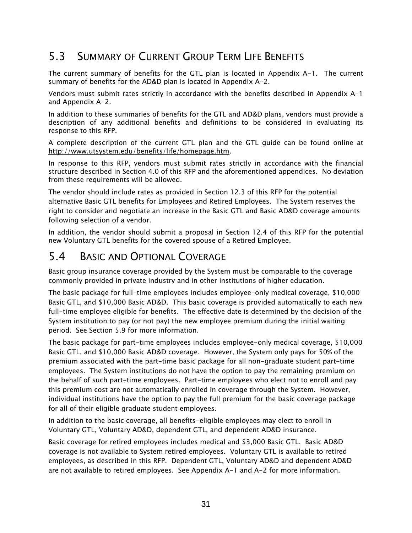# 5.3 SUMMARY OF CURRENT GROUP TERM LIFE BENEFITS

The current summary of benefits for the GTL plan is located in Appendix A-1. The current summary of benefits for the AD&D plan is located in Appendix A-2.

Vendors must submit rates strictly in accordance with the benefits described in Appendix A-1 and Appendix A-2.

In addition to these summaries of benefits for the GTL and AD&D plans, vendors must provide a description of any additional benefits and definitions to be considered in evaluating its response to this RFP.

A complete description of the current GTL plan and the GTL guide can be found online at http://www.utsystem.edu/benefits/life/homepage.htm.

In response to this RFP, vendors must submit rates strictly in accordance with the financial structure described in Section 4.0 of this RFP and the aforementioned appendices. No deviation from these requirements will be allowed.

The vendor should include rates as provided in Section 12.3 of this RFP for the potential alternative Basic GTL benefits for Employees and Retired Employees. The System reserves the right to consider and negotiate an increase in the Basic GTL and Basic AD&D coverage amounts following selection of a vendor.

In addition, the vendor should submit a proposal in Section 12.4 of this RFP for the potential new Voluntary GTL benefits for the covered spouse of a Retired Employee.

#### 5.4 BASIC AND OPTIONAL COVERAGE

Basic group insurance coverage provided by the System must be comparable to the coverage commonly provided in private industry and in other institutions of higher education.

The basic package for full-time employees includes employee-only medical coverage, \$10,000 Basic GTL, and \$10,000 Basic AD&D. This basic coverage is provided automatically to each new full-time employee eligible for benefits. The effective date is determined by the decision of the System institution to pay (or not pay) the new employee premium during the initial waiting period. See Section 5.9 for more information.

The basic package for part-time employees includes employee-only medical coverage, \$10,000 Basic GTL, and \$10,000 Basic AD&D coverage. However, the System only pays for 50% of the premium associated with the part-time basic package for all non-graduate student part-time employees. The System institutions do not have the option to pay the remaining premium on the behalf of such part-time employees. Part-time employees who elect not to enroll and pay this premium cost are not automatically enrolled in coverage through the System. However, individual institutions have the option to pay the full premium for the basic coverage package for all of their eligible graduate student employees.

In addition to the basic coverage, all benefits-eligible employees may elect to enroll in Voluntary GTL, Voluntary AD&D, dependent GTL, and dependent AD&D insurance.

Basic coverage for retired employees includes medical and \$3,000 Basic GTL. Basic AD&D coverage is not available to System retired employees. Voluntary GTL is available to retired employees, as described in this RFP. Dependent GTL, Voluntary AD&D and dependent AD&D are not available to retired employees. See Appendix A-1 and A-2 for more information.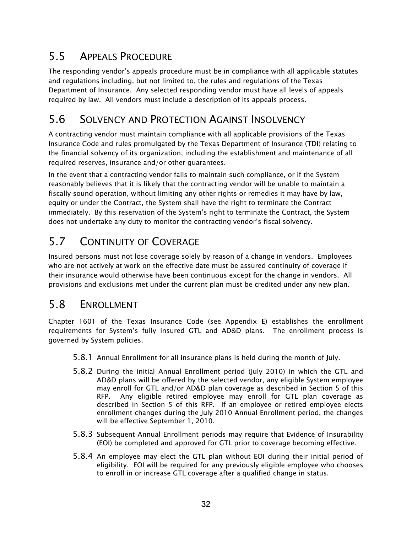# 5.5 APPEALS PROCEDURE

The responding vendor's appeals procedure must be in compliance with all applicable statutes and regulations including, but not limited to, the rules and regulations of the Texas Department of Insurance. Any selected responding vendor must have all levels of appeals required by law. All vendors must include a description of its appeals process.

# 5.6 SOLVENCY AND PROTECTION AGAINST INSOLVENCY

A contracting vendor must maintain compliance with all applicable provisions of the Texas Insurance Code and rules promulgated by the Texas Department of Insurance (TDI) relating to the financial solvency of its organization, including the establishment and maintenance of all required reserves, insurance and/or other guarantees.

In the event that a contracting vendor fails to maintain such compliance, or if the System reasonably believes that it is likely that the contracting vendor will be unable to maintain a fiscally sound operation, without limiting any other rights or remedies it may have by law, equity or under the Contract, the System shall have the right to terminate the Contract immediately. By this reservation of the System's right to terminate the Contract, the System does not undertake any duty to monitor the contracting vendor's fiscal solvency.

# 5.7 CONTINUITY OF COVERAGE

Insured persons must not lose coverage solely by reason of a change in vendors. Employees who are not actively at work on the effective date must be assured continuity of coverage if their insurance would otherwise have been continuous except for the change in vendors. All provisions and exclusions met under the current plan must be credited under any new plan.

## 5.8 ENROLLMENT

Chapter 1601 of the Texas Insurance Code (see Appendix E) establishes the enrollment requirements for System's fully insured GTL and AD&D plans. The enrollment process is governed by System policies.

- 5.8.1 Annual Enrollment for all insurance plans is held during the month of July.
- 5.8.2 During the initial Annual Enrollment period (July 2010) in which the GTL and AD&D plans will be offered by the selected vendor, any eligible System employee may enroll for GTL and/or AD&D plan coverage as described in Section 5 of this RFP. Any eligible retired employee may enroll for GTL plan coverage as described in Section 5 of this RFP. If an employee or retired employee elects enrollment changes during the July 2010 Annual Enrollment period, the changes will be effective September 1, 2010.
- 5.8.3 Subsequent Annual Enrollment periods may require that Evidence of Insurability (EOI) be completed and approved for GTL prior to coverage becoming effective.
- 5.8.4 An employee may elect the GTL plan without EOI during their initial period of eligibility. EOI will be required for any previously eligible employee who chooses to enroll in or increase GTL coverage after a qualified change in status.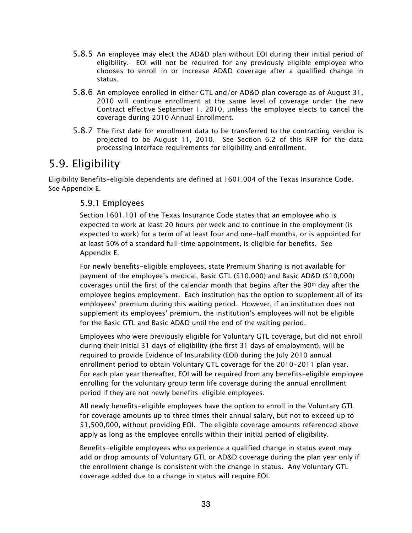- 5.8.5 An employee may elect the AD&D plan without EOI during their initial period of eligibility. EOI will not be required for any previously eligible employee who chooses to enroll in or increase AD&D coverage after a qualified change in status.
- 5.8.6 An employee enrolled in either GTL and/or AD&D plan coverage as of August 31, 2010 will continue enrollment at the same level of coverage under the new Contract effective September 1, 2010, unless the employee elects to cancel the coverage during 2010 Annual Enrollment.
- 5.8.7 The first date for enrollment data to be transferred to the contracting vendor is projected to be August 11, 2010. See Section 6.2 of this RFP for the data processing interface requirements for eligibility and enrollment.

# 5.9. Eligibility

Eligibility Benefits-eligible dependents are defined at 1601.004 of the Texas Insurance Code. See Appendix E.

#### 5.9.1 Employees

Section 1601.101 of the Texas Insurance Code states that an employee who is expected to work at least 20 hours per week and to continue in the employment (is expected to work) for a term of at least four and one-half months, or is appointed for at least 50% of a standard full-time appointment, is eligible for benefits. See Appendix E.

For newly benefits-eligible employees, state Premium Sharing is not available for payment of the employee's medical, Basic GTL (\$10,000) and Basic AD&D (\$10,000) coverages until the first of the calendar month that begins after the 90th day after the employee begins employment. Each institution has the option to supplement all of its employees' premium during this waiting period. However, if an institution does not supplement its employees' premium, the institution's employees will not be eligible for the Basic GTL and Basic AD&D until the end of the waiting period.

Employees who were previously eligible for Voluntary GTL coverage, but did not enroll during their initial 31 days of eligibility (the first 31 days of employment), will be required to provide Evidence of Insurability (EOI) during the July 2010 annual enrollment period to obtain Voluntary GTL coverage for the 2010-2011 plan year. For each plan year thereafter, EOI will be required from any benefits-eligible employee enrolling for the voluntary group term life coverage during the annual enrollment period if they are not newly benefits-eligible employees.

All newly benefits-eligible employees have the option to enroll in the Voluntary GTL for coverage amounts up to three times their annual salary, but not to exceed up to \$1,500,000, without providing EOI. The eligible coverage amounts referenced above apply as long as the employee enrolls within their initial period of eligibility.

Benefits-eligible employees who experience a qualified change in status event may add or drop amounts of Voluntary GTL or AD&D coverage during the plan year only if the enrollment change is consistent with the change in status. Any Voluntary GTL coverage added due to a change in status will require EOI.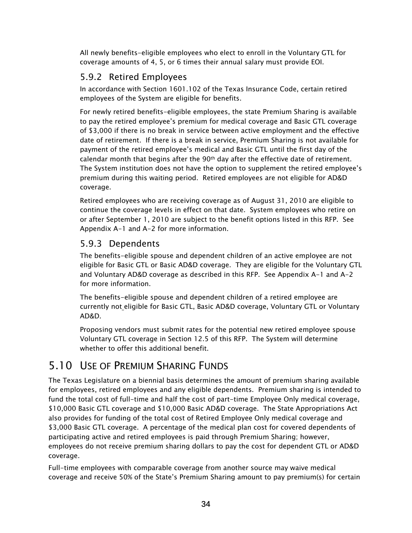All newly benefits-eligible employees who elect to enroll in the Voluntary GTL for coverage amounts of 4, 5, or 6 times their annual salary must provide EOI.

#### 5.9.2 Retired Employees

In accordance with Section 1601.102 of the Texas Insurance Code, certain retired employees of the System are eligible for benefits.

For newly retired benefits-eligible employees, the state Premium Sharing is available to pay the retired employee's premium for medical coverage and Basic GTL coverage of \$3,000 if there is no break in service between active employment and the effective date of retirement. If there is a break in service, Premium Sharing is not available for payment of the retired employee's medical and Basic GTL until the first day of the calendar month that begins after the  $90<sup>th</sup>$  day after the effective date of retirement. The System institution does not have the option to supplement the retired employee's premium during this waiting period. Retired employees are not eligible for AD&D coverage.

Retired employees who are receiving coverage as of August 31, 2010 are eligible to continue the coverage levels in effect on that date. System employees who retire on or after September 1, 2010 are subject to the benefit options listed in this RFP. See Appendix A-1 and A-2 for more information.

#### 5.9.3 Dependents

The benefits-eligible spouse and dependent children of an active employee are not eligible for Basic GTL or Basic AD&D coverage. They are eligible for the Voluntary GTL and Voluntary AD&D coverage as described in this RFP. See Appendix A-1 and A-2 for more information.

The benefits-eligible spouse and dependent children of a retired employee are currently not eligible for Basic GTL, Basic AD&D coverage, Voluntary GTL or Voluntary AD&D.

Proposing vendors must submit rates for the potential new retired employee spouse Voluntary GTL coverage in Section 12.5 of this RFP. The System will determine whether to offer this additional benefit.

# 5.10 USE OF PREMIUM SHARING FUNDS

The Texas Legislature on a biennial basis determines the amount of premium sharing available for employees, retired employees and any eligible dependents. Premium sharing is intended to fund the total cost of full-time and half the cost of part-time Employee Only medical coverage, \$10,000 Basic GTL coverage and \$10,000 Basic AD&D coverage. The State Appropriations Act also provides for funding of the total cost of Retired Employee Only medical coverage and \$3,000 Basic GTL coverage. A percentage of the medical plan cost for covered dependents of participating active and retired employees is paid through Premium Sharing; however, employees do not receive premium sharing dollars to pay the cost for dependent GTL or AD&D coverage.

Full-time employees with comparable coverage from another source may waive medical coverage and receive 50% of the State's Premium Sharing amount to pay premium(s) for certain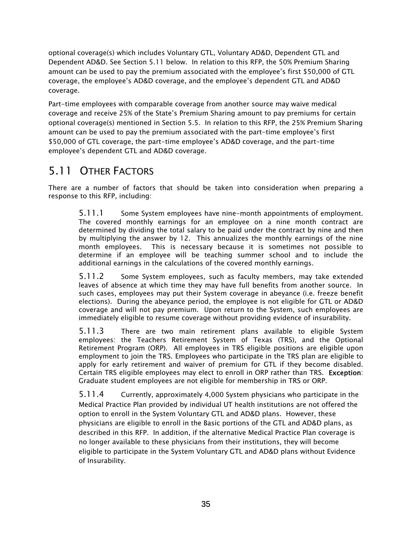optional coverage(s) which includes Voluntary GTL, Voluntary AD&D, Dependent GTL and Dependent AD&D. See Section 5.11 below. In relation to this RFP, the 50% Premium Sharing amount can be used to pay the premium associated with the employee's first \$50,000 of GTL coverage, the employee's AD&D coverage, and the employee's dependent GTL and AD&D coverage.

Part-time employees with comparable coverage from another source may waive medical coverage and receive 25% of the State's Premium Sharing amount to pay premiums for certain optional coverage(s) mentioned in Section 5.5. In relation to this RFP, the 25% Premium Sharing amount can be used to pay the premium associated with the part-time employee's first \$50,000 of GTL coverage, the part-time employee's AD&D coverage, and the part-time employee's dependent GTL and AD&D coverage.

# 5.11 OTHER FACTORS

There are a number of factors that should be taken into consideration when preparing a response to this RFP, including:

5.11.1 Some System employees have nine-month appointments of employment. The covered monthly earnings for an employee on a nine month contract are determined by dividing the total salary to be paid under the contract by nine and then by multiplying the answer by 12. This annualizes the monthly earnings of the nine month employees. This is necessary because it is sometimes not possible to determine if an employee will be teaching summer school and to include the additional earnings in the calculations of the covered monthly earnings.

5.11.2 Some System employees, such as faculty members, may take extended leaves of absence at which time they may have full benefits from another source. In such cases, employees may put their System coverage in abeyance (i.e. freeze benefit elections). During the abeyance period, the employee is not eligible for GTL or AD&D coverage and will not pay premium. Upon return to the System, such employees are immediately eligible to resume coverage without providing evidence of insurability.

5.11.3 There are two main retirement plans available to eligible System employees: the Teachers Retirement System of Texas (TRS), and the Optional Retirement Program (ORP). All employees in TRS eligible positions are eligible upon employment to join the TRS. Employees who participate in the TRS plan are eligible to apply for early retirement and waiver of premium for GTL if they become disabled. Certain TRS eligible employees may elect to enroll in ORP rather than TRS. Exception: Graduate student employees are not eligible for membership in TRS or ORP.

5.11.4 Currently, approximately 4,000 System physicians who participate in the Medical Practice Plan provided by individual UT health institutions are not offered the option to enroll in the System Voluntary GTL and AD&D plans. However, these physicians are eligible to enroll in the Basic portions of the GTL and AD&D plans, as described in this RFP. In addition, if the alternative Medical Practice Plan coverage is no longer available to these physicians from their institutions, they will become eligible to participate in the System Voluntary GTL and AD&D plans without Evidence of Insurability.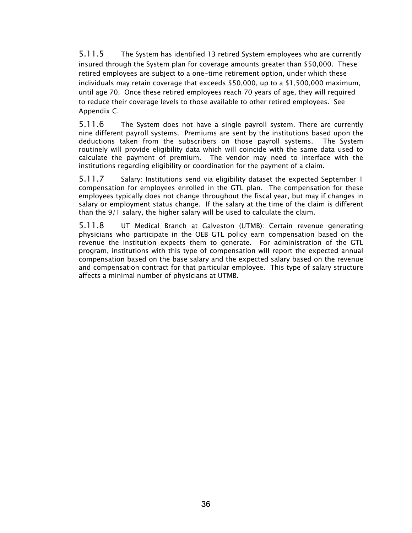5.11.5 The System has identified 13 retired System employees who are currently insured through the System plan for coverage amounts greater than \$50,000. These retired employees are subject to a one-time retirement option, under which these individuals may retain coverage that exceeds \$50,000, up to a \$1,500,000 maximum, until age 70. Once these retired employees reach 70 years of age, they will required to reduce their coverage levels to those available to other retired employees. See Appendix C.

5.11.6 The System does not have a single payroll system. There are currently nine different payroll systems. Premiums are sent by the institutions based upon the deductions taken from the subscribers on those payroll systems. The System routinely will provide eligibility data which will coincide with the same data used to calculate the payment of premium. The vendor may need to interface with the institutions regarding eligibility or coordination for the payment of a claim.

5.11.7 Salary: Institutions send via eligibility dataset the expected September 1 compensation for employees enrolled in the GTL plan. The compensation for these employees typically does not change throughout the fiscal year, but may if changes in salary or employment status change. If the salary at the time of the claim is different than the 9/1 salary, the higher salary will be used to calculate the claim.

5.11.8 UT Medical Branch at Galveston (UTMB): Certain revenue generating physicians who participate in the OEB GTL policy earn compensation based on the revenue the institution expects them to generate. For administration of the GTL program, institutions with this type of compensation will report the expected annual compensation based on the base salary and the expected salary based on the revenue and compensation contract for that particular employee. This type of salary structure affects a minimal number of physicians at UTMB.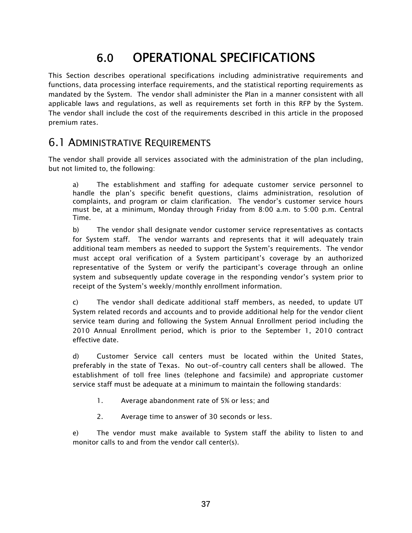# 6.0 OPERATIONAL SPECIFICATIONS

This Section describes operational specifications including administrative requirements and functions, data processing interface requirements, and the statistical reporting requirements as mandated by the System. The vendor shall administer the Plan in a manner consistent with all applicable laws and regulations, as well as requirements set forth in this RFP by the System. The vendor shall include the cost of the requirements described in this article in the proposed premium rates.

## 6.1 ADMINISTRATIVE REQUIREMENTS

The vendor shall provide all services associated with the administration of the plan including, but not limited to, the following:

a) The establishment and staffing for adequate customer service personnel to handle the plan's specific benefit questions, claims administration, resolution of complaints, and program or claim clarification. The vendor's customer service hours must be, at a minimum, Monday through Friday from 8:00 a.m. to 5:00 p.m. Central Time.

b) The vendor shall designate vendor customer service representatives as contacts for System staff. The vendor warrants and represents that it will adequately train additional team members as needed to support the System's requirements. The vendor must accept oral verification of a System participant's coverage by an authorized representative of the System or verify the participant's coverage through an online system and subsequently update coverage in the responding vendor's system prior to receipt of the System's weekly/monthly enrollment information.

c) The vendor shall dedicate additional staff members, as needed, to update UT System related records and accounts and to provide additional help for the vendor client service team during and following the System Annual Enrollment period including the 2010 Annual Enrollment period, which is prior to the September 1, 2010 contract effective date.

d) Customer Service call centers must be located within the United States, preferably in the state of Texas. No out-of-country call centers shall be allowed. The establishment of toll free lines (telephone and facsimile) and appropriate customer service staff must be adequate at a minimum to maintain the following standards:

- 1. Average abandonment rate of 5% or less; and
- 2. Average time to answer of 30 seconds or less.

e) The vendor must make available to System staff the ability to listen to and monitor calls to and from the vendor call center(s).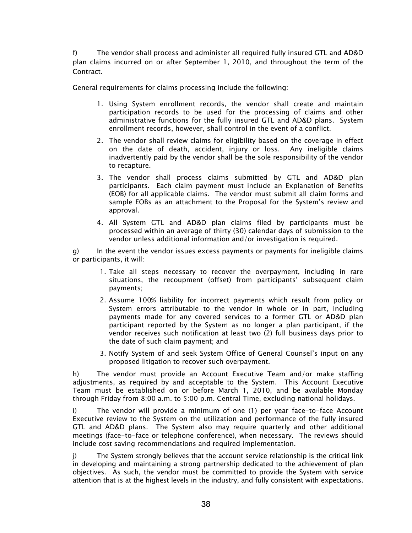f) The vendor shall process and administer all required fully insured GTL and AD&D plan claims incurred on or after September 1, 2010, and throughout the term of the Contract.

General requirements for claims processing include the following:

- 1. Using System enrollment records, the vendor shall create and maintain participation records to be used for the processing of claims and other administrative functions for the fully insured GTL and AD&D plans. System enrollment records, however, shall control in the event of a conflict.
- 2. The vendor shall review claims for eligibility based on the coverage in effect on the date of death, accident, injury or loss. Any ineligible claims inadvertently paid by the vendor shall be the sole responsibility of the vendor to recapture.
- 3. The vendor shall process claims submitted by GTL and AD&D plan participants. Each claim payment must include an Explanation of Benefits (EOB) for all applicable claims. The vendor must submit all claim forms and sample EOBs as an attachment to the Proposal for the System's review and approval.
- 4. All System GTL and AD&D plan claims filed by participants must be processed within an average of thirty (30) calendar days of submission to the vendor unless additional information and/or investigation is required.

g) In the event the vendor issues excess payments or payments for ineligible claims or participants, it will:

- 1. Take all steps necessary to recover the overpayment, including in rare situations, the recoupment (offset) from participants' subsequent claim payments;
- 2. Assume 100% liability for incorrect payments which result from policy or System errors attributable to the vendor in whole or in part, including payments made for any covered services to a former GTL or AD&D plan participant reported by the System as no longer a plan participant, if the vendor receives such notification at least two (2) full business days prior to the date of such claim payment; and
- 3. Notify System of and seek System Office of General Counsel's input on any proposed litigation to recover such overpayment.

h) The vendor must provide an Account Executive Team and/or make staffing adjustments, as required by and acceptable to the System. This Account Executive Team must be established on or before March 1, 2010, and be available Monday through Friday from 8:00 a.m. to 5:00 p.m. Central Time, excluding national holidays.

i) The vendor will provide a minimum of one (1) per year face-to-face Account Executive review to the System on the utilization and performance of the fully insured GTL and AD&D plans. The System also may require quarterly and other additional meetings (face-to-face or telephone conference), when necessary. The reviews should include cost saving recommendations and required implementation.

j) The System strongly believes that the account service relationship is the critical link in developing and maintaining a strong partnership dedicated to the achievement of plan objectives. As such, the vendor must be committed to provide the System with service attention that is at the highest levels in the industry, and fully consistent with expectations.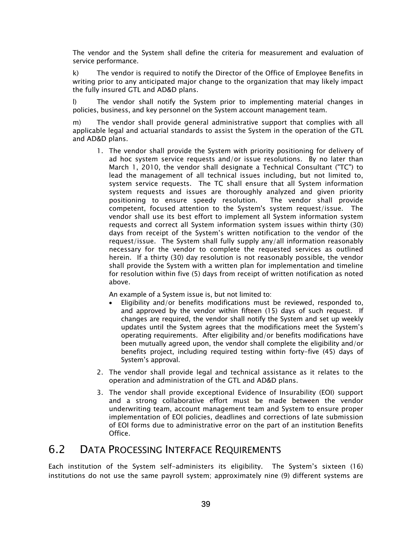The vendor and the System shall define the criteria for measurement and evaluation of service performance.

k) The vendor is required to notify the Director of the Office of Employee Benefits in writing prior to any anticipated major change to the organization that may likely impact the fully insured GTL and AD&D plans.

l) The vendor shall notify the System prior to implementing material changes in policies, business, and key personnel on the System account management team.

m) The vendor shall provide general administrative support that complies with all applicable legal and actuarial standards to assist the System in the operation of the GTL and AD&D plans.

1. The vendor shall provide the System with priority positioning for delivery of ad hoc system service requests and/or issue resolutions. By no later than March 1, 2010, the vendor shall designate a Technical Consultant ("TC") to lead the management of all technical issues including, but not limited to, system service requests. The TC shall ensure that all System information system requests and issues are thoroughly analyzed and given priority positioning to ensure speedy resolution. The vendor shall provide competent, focused attention to the System's system request/issue. The vendor shall use its best effort to implement all System information system requests and correct all System information system issues within thirty (30) days from receipt of the System's written notification to the vendor of the request/issue. The System shall fully supply any/all information reasonably necessary for the vendor to complete the requested services as outlined herein. If a thirty (30) day resolution is not reasonably possible, the vendor shall provide the System with a written plan for implementation and timeline for resolution within five (5) days from receipt of written notification as noted above.

An example of a System issue is, but not limited to:

- Eligibility and/or benefits modifications must be reviewed, responded to, and approved by the vendor within fifteen (15) days of such request. If changes are required, the vendor shall notify the System and set up weekly updates until the System agrees that the modifications meet the System's operating requirements. After eligibility and/or benefits modifications have been mutually agreed upon, the vendor shall complete the eligibility and/or benefits project, including required testing within forty-five (45) days of System's approval.
- 2. The vendor shall provide legal and technical assistance as it relates to the operation and administration of the GTL and AD&D plans.
- 3. The vendor shall provide exceptional Evidence of Insurability (EOI) support and a strong collaborative effort must be made between the vendor underwriting team, account management team and System to ensure proper implementation of EOI policies, deadlines and corrections of late submission of EOI forms due to administrative error on the part of an institution Benefits Office.

### 6.2 DATA PROCESSING INTERFACE REQUIREMENTS

Each institution of the System self-administers its eligibility. The System's sixteen (16) institutions do not use the same payroll system; approximately nine (9) different systems are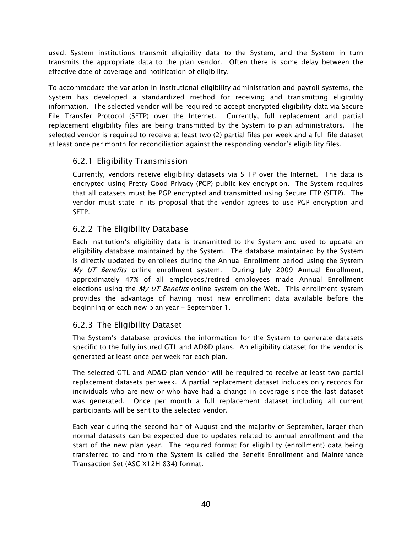used. System institutions transmit eligibility data to the System, and the System in turn transmits the appropriate data to the plan vendor. Often there is some delay between the effective date of coverage and notification of eligibility.

To accommodate the variation in institutional eligibility administration and payroll systems, the System has developed a standardized method for receiving and transmitting eligibility information. The selected vendor will be required to accept encrypted eligibility data via Secure File Transfer Protocol (SFTP) over the Internet. Currently, full replacement and partial replacement eligibility files are being transmitted by the System to plan administrators. The selected vendor is required to receive at least two (2) partial files per week and a full file dataset at least once per month for reconciliation against the responding vendor's eligibility files.

### 6.2.1 Eligibility Transmission

Currently, vendors receive eligibility datasets via SFTP over the Internet. The data is encrypted using Pretty Good Privacy (PGP) public key encryption. The System requires that all datasets must be PGP encrypted and transmitted using Secure FTP (SFTP). The vendor must state in its proposal that the vendor agrees to use PGP encryption and SFTP.

### 6.2.2 The Eligibility Database

Each institution's eligibility data is transmitted to the System and used to update an eligibility database maintained by the System. The database maintained by the System is directly updated by enrollees during the Annual Enrollment period using the System My UT Benefits online enrollment system. During July 2009 Annual Enrollment, approximately 47% of all employees/retired employees made Annual Enrollment elections using the My UT Benefits online system on the Web. This enrollment system provides the advantage of having most new enrollment data available before the beginning of each new plan year - September 1.

### 6.2.3 The Eligibility Dataset

The System's database provides the information for the System to generate datasets specific to the fully insured GTL and AD&D plans. An eligibility dataset for the vendor is generated at least once per week for each plan.

The selected GTL and AD&D plan vendor will be required to receive at least two partial replacement datasets per week. A partial replacement dataset includes only records for individuals who are new or who have had a change in coverage since the last dataset was generated. Once per month a full replacement dataset including all current participants will be sent to the selected vendor.

Each year during the second half of August and the majority of September, larger than normal datasets can be expected due to updates related to annual enrollment and the start of the new plan year. The required format for eligibility (enrollment) data being transferred to and from the System is called the Benefit Enrollment and Maintenance Transaction Set (ASC X12H 834) format.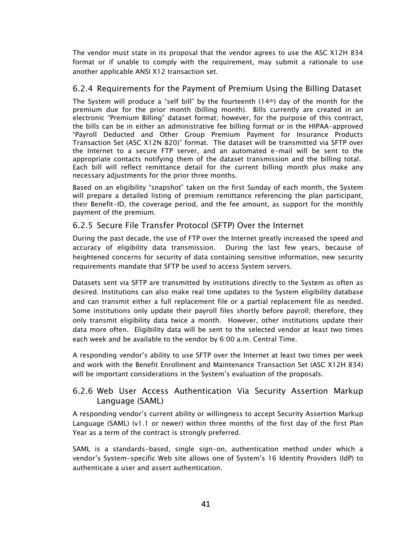The vendor must state in its proposal that the vendor agrees to use the ASC X12H 834 format or if unable to comply with the requirement, may submit a rationale to use another applicable ANSI X12 transaction set.

#### 6.2.4 Requirements for the Payment of Premium Using the Billing Dataset

The System will produce a "self bill" by the fourteenth  $(14<sup>th</sup>)$  day of the month for the premium due for the prior month (billing month). Bills currently are created in an electronic "Premium Billing" dataset format; however, for the purpose of this contract, the bills can be in either an administrative fee billing format or in the HIPAA-approved "Payroll Deducted and Other Group Premium Payment for Insurance Products Transaction Set (ASC X12N 820)" format. The dataset will be transmitted via SFTP over the Internet to a secure FTP server, and an automated e-mail will be sent to the appropriate contacts notifying them of the dataset transmission and the billing total. Each bill will reflect remittance detail for the current billing month plus make any necessary adjustments for the prior three months.

Based on an eligibility "snapshot" taken on the first Sunday of each month, the System will prepare a detailed listing of premium remittance referencing the plan participant, their Benefit-ID, the coverage period, and the fee amount, as support for the monthly payment of the premium.

#### 6.2.5 Secure File Transfer Protocol (SFTP) Over the Internet

During the past decade, the use of FTP over the Internet greatly increased the speed and accuracy of eligibility data transmission. During the last few years, because of heightened concerns for security of data containing sensitive information, new security requirements mandate that SFTP be used to access System servers.

Datasets sent via SFTP are transmitted by institutions directly to the System as often as desired. Institutions can also make real time updates to the System eligibility database and can transmit either a full replacement file or a partial replacement file as needed. Some institutions only update their payroll files shortly before payroll; therefore, they only transmit eligibility data twice a month. However, other institutions update their data more often. Eligibility data will be sent to the selected vendor at least two times each week and be available to the vendor by 6:00 a.m. Central Time.

A responding vendor's ability to use SFTP over the Internet at least two times per week and work with the Benefit Enrollment and Maintenance Transaction Set (ASC X12H 834) will be important considerations in the System's evaluation of the proposals.

#### 6.2.6 Web User Access Authentication Via Security Assertion Markup Language (SAML)

A responding vendor's current ability or willingness to accept Security Assertion Markup Language (SAML) (v1.1 or newer) within three months of the first day of the first Plan Year as a term of the contract is strongly preferred.

SAML is a standards-based, single sign-on, authentication method under which a vendor's System-specific Web site allows one of System's 16 Identity Providers (IdP) to authenticate a user and assert authentication.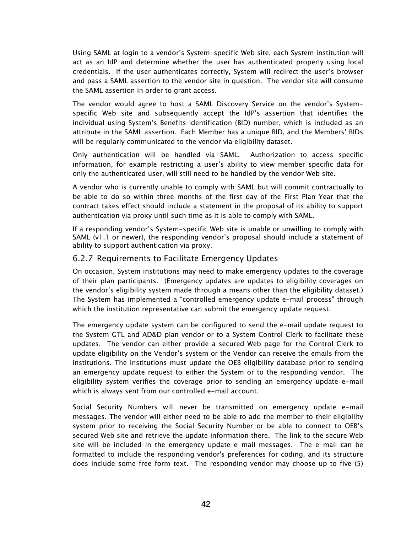Using SAML at login to a vendor's System-specific Web site, each System institution will act as an IdP and determine whether the user has authenticated properly using local credentials. If the user authenticates correctly, System will redirect the user's browser and pass a SAML assertion to the vendor site in question. The vendor site will consume the SAML assertion in order to grant access.

The vendor would agree to host a SAML Discovery Service on the vendor's Systemspecific Web site and subsequently accept the IdP's assertion that identifies the individual using System's Benefits Identification (BID) number, which is included as an attribute in the SAML assertion. Each Member has a unique BID, and the Members' BIDs will be regularly communicated to the vendor via eligibility dataset.

Only authentication will be handled via SAML. Authorization to access specific information, for example restricting a user's ability to view member specific data for only the authenticated user, will still need to be handled by the vendor Web site.

A vendor who is currently unable to comply with SAML but will commit contractually to be able to do so within three months of the first day of the First Plan Year that the contract takes effect should include a statement in the proposal of its ability to support authentication via proxy until such time as it is able to comply with SAML.

If a responding vendor's System-specific Web site is unable or unwilling to comply with SAML (v1.1 or newer), the responding vendor's proposal should include a statement of ability to support authentication via proxy.

#### 6.2.7 Requirements to Facilitate Emergency Updates

On occasion, System institutions may need to make emergency updates to the coverage of their plan participants. (Emergency updates are updates to eligibility coverages on the vendor's eligibility system made through a means other than the eligibility dataset.) The System has implemented a "controlled emergency update e-mail process" through which the institution representative can submit the emergency update request.

The emergency update system can be configured to send the e-mail update request to the System GTL and AD&D plan vendor or to a System Control Clerk to facilitate these updates. The vendor can either provide a secured Web page for the Control Clerk to update eligibility on the Vendor's system or the Vendor can receive the emails from the institutions. The institutions must update the OEB eligibility database prior to sending an emergency update request to either the System or to the responding vendor. The eligibility system verifies the coverage prior to sending an emergency update e-mail which is always sent from our controlled e-mail account.

Social Security Numbers will never be transmitted on emergency update e-mail messages. The vendor will either need to be able to add the member to their eligibility system prior to receiving the Social Security Number or be able to connect to OEB's secured Web site and retrieve the update information there. The link to the secure Web site will be included in the emergency update e-mail messages. The e-mail can be formatted to include the responding vendor's preferences for coding, and its structure does include some free form text. The responding vendor may choose up to five (5)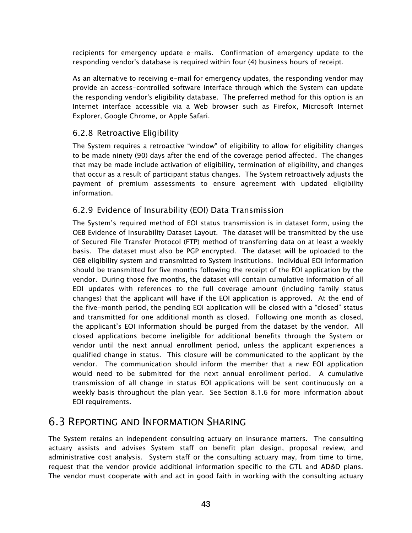recipients for emergency update e-mails. Confirmation of emergency update to the responding vendor's database is required within four (4) business hours of receipt.

As an alternative to receiving e-mail for emergency updates, the responding vendor may provide an access-controlled software interface through which the System can update the responding vendor's eligibility database. The preferred method for this option is an Internet interface accessible via a Web browser such as Firefox, Microsoft Internet Explorer, Google Chrome, or Apple Safari.

### 6.2.8 Retroactive Eligibility

The System requires a retroactive "window" of eligibility to allow for eligibility changes to be made ninety (90) days after the end of the coverage period affected. The changes that may be made include activation of eligibility, termination of eligibility, and changes that occur as a result of participant status changes. The System retroactively adjusts the payment of premium assessments to ensure agreement with updated eligibility information.

### 6.2.9 Evidence of Insurability (EOI) Data Transmission

The System's required method of EOI status transmission is in dataset form, using the OEB Evidence of Insurability Dataset Layout. The dataset will be transmitted by the use of Secured File Transfer Protocol (FTP) method of transferring data on at least a weekly basis. The dataset must also be PGP encrypted. The dataset will be uploaded to the OEB eligibility system and transmitted to System institutions. Individual EOI information should be transmitted for five months following the receipt of the EOI application by the vendor. During those five months, the dataset will contain cumulative information of all EOI updates with references to the full coverage amount (including family status changes) that the applicant will have if the EOI application is approved. At the end of the five-month period, the pending EOI application will be closed with a "closed" status and transmitted for one additional month as closed. Following one month as closed, the applicant's EOI information should be purged from the dataset by the vendor. All closed applications become ineligible for additional benefits through the System or vendor until the next annual enrollment period, unless the applicant experiences a qualified change in status. This closure will be communicated to the applicant by the vendor. The communication should inform the member that a new EOI application would need to be submitted for the next annual enrollment period. A cumulative transmission of all change in status EOI applications will be sent continuously on a weekly basis throughout the plan year. See Section 8.1.6 for more information about EOI requirements.

# 6.3 REPORTING AND INFORMATION SHARING

The System retains an independent consulting actuary on insurance matters. The consulting actuary assists and advises System staff on benefit plan design, proposal review, and administrative cost analysis. System staff or the consulting actuary may, from time to time, request that the vendor provide additional information specific to the GTL and AD&D plans. The vendor must cooperate with and act in good faith in working with the consulting actuary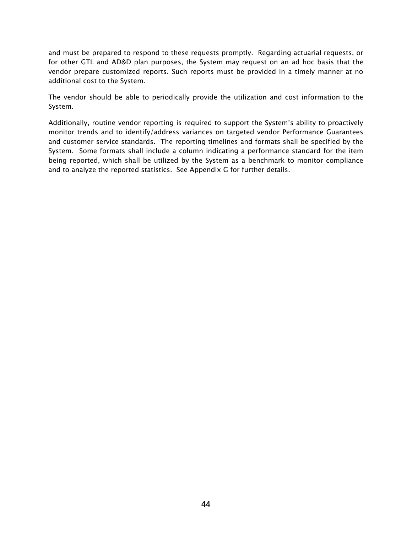and must be prepared to respond to these requests promptly. Regarding actuarial requests, or for other GTL and AD&D plan purposes, the System may request on an ad hoc basis that the vendor prepare customized reports. Such reports must be provided in a timely manner at no additional cost to the System.

The vendor should be able to periodically provide the utilization and cost information to the System.

Additionally, routine vendor reporting is required to support the System's ability to proactively monitor trends and to identify/address variances on targeted vendor Performance Guarantees and customer service standards. The reporting timelines and formats shall be specified by the System. Some formats shall include a column indicating a performance standard for the item being reported, which shall be utilized by the System as a benchmark to monitor compliance and to analyze the reported statistics. See Appendix G for further details.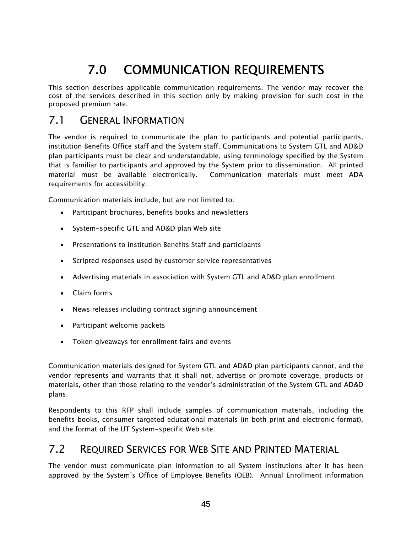# 7.0 COMMUNICATION REQUIREMENTS

This section describes applicable communication requirements. The vendor may recover the cost of the services described in this section only by making provision for such cost in the proposed premium rate.

# 7.1 GENERAL INFORMATION

The vendor is required to communicate the plan to participants and potential participants, institution Benefits Office staff and the System staff. Communications to System GTL and AD&D plan participants must be clear and understandable, using terminology specified by the System that is familiar to participants and approved by the System prior to dissemination. All printed material must be available electronically. Communication materials must meet ADA requirements for accessibility.

Communication materials include, but are not limited to:

- Participant brochures, benefits books and newsletters
- System-specific GTL and AD&D plan Web site
- Presentations to institution Benefits Staff and participants
- Scripted responses used by customer service representatives
- Advertising materials in association with System GTL and AD&D plan enrollment
- Claim forms
- News releases including contract signing announcement
- Participant welcome packets
- Token giveaways for enrollment fairs and events

Communication materials designed for System GTL and AD&D plan participants cannot, and the vendor represents and warrants that it shall not, advertise or promote coverage, products or materials, other than those relating to the vendor's administration of the System GTL and AD&D plans.

Respondents to this RFP shall include samples of communication materials, including the benefits books, consumer targeted educational materials (in both print and electronic format), and the format of the UT System-specific Web site.

### 7.2 REQUIRED SERVICES FOR WEB SITE AND PRINTED MATERIAL

The vendor must communicate plan information to all System institutions after it has been approved by the System's Office of Employee Benefits (OEB). Annual Enrollment information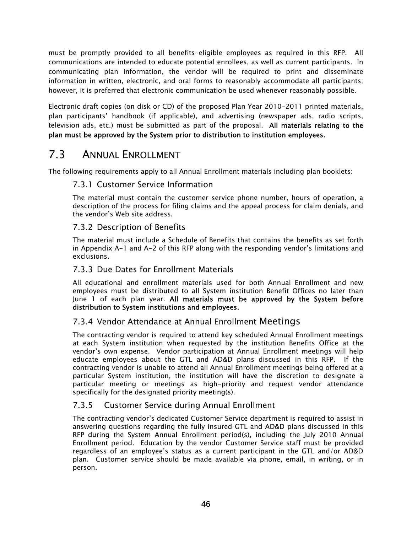must be promptly provided to all benefits-eligible employees as required in this RFP. All communications are intended to educate potential enrollees, as well as current participants. In communicating plan information, the vendor will be required to print and disseminate information in written, electronic, and oral forms to reasonably accommodate all participants; however, it is preferred that electronic communication be used whenever reasonably possible.

Electronic draft copies (on disk or CD) of the proposed Plan Year 2010-2011 printed materials, plan participants' handbook (if applicable), and advertising (newspaper ads, radio scripts, television ads, etc.) must be submitted as part of the proposal. All materials relating to the plan must be approved by the System prior to distribution to institution employees.

# 7.3 ANNUAL ENROLLMENT

The following requirements apply to all Annual Enrollment materials including plan booklets:

#### 7.3.1 Customer Service Information

The material must contain the customer service phone number, hours of operation, a description of the process for filing claims and the appeal process for claim denials, and the vendor's Web site address.

#### 7.3.2 Description of Benefits

The material must include a Schedule of Benefits that contains the benefits as set forth in Appendix A-1 and A-2 of this RFP along with the responding vendor's limitations and exclusions.

#### 7.3.3 Due Dates for Enrollment Materials

All educational and enrollment materials used for both Annual Enrollment and new employees must be distributed to all System institution Benefit Offices no later than June 1 of each plan year. All materials must be approved by the System before distribution to System institutions and employees.

#### 7.3.4 Vendor Attendance at Annual Enrollment Meetings

The contracting vendor is required to attend key scheduled Annual Enrollment meetings at each System institution when requested by the institution Benefits Office at the vendor's own expense. Vendor participation at Annual Enrollment meetings will help educate employees about the GTL and AD&D plans discussed in this RFP. If the contracting vendor is unable to attend all Annual Enrollment meetings being offered at a particular System institution, the institution will have the discretion to designate a particular meeting or meetings as high-priority and request vendor attendance specifically for the designated priority meeting(s).

#### 7.3.5 Customer Service during Annual Enrollment

The contracting vendor's dedicated Customer Service department is required to assist in answering questions regarding the fully insured GTL and AD&D plans discussed in this RFP during the System Annual Enrollment period(s), including the July 2010 Annual Enrollment period. Education by the vendor Customer Service staff must be provided regardless of an employee's status as a current participant in the GTL and/or AD&D plan. Customer service should be made available via phone, email, in writing, or in person.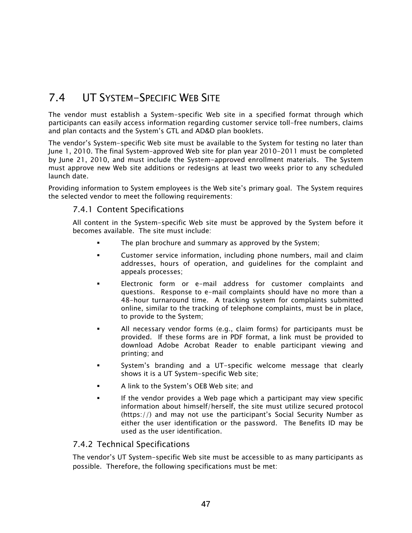# 7.4 UT SYSTEM-SPECIFIC WEB SITE

The vendor must establish a System-specific Web site in a specified format through which participants can easily access information regarding customer service toll-free numbers, claims and plan contacts and the System's GTL and AD&D plan booklets.

The vendor's System-specific Web site must be available to the System for testing no later than June 1, 2010. The final System-approved Web site for plan year 2010-2011 must be completed by June 21, 2010, and must include the System-approved enrollment materials. The System must approve new Web site additions or redesigns at least two weeks prior to any scheduled launch date.

Providing information to System employees is the Web site's primary goal. The System requires the selected vendor to meet the following requirements:

#### 7.4.1 Content Specifications

All content in the System-specific Web site must be approved by the System before it becomes available. The site must include:

- The plan brochure and summary as approved by the System;
- Customer service information, including phone numbers, mail and claim addresses, hours of operation, and guidelines for the complaint and appeals processes;
- Electronic form or e-mail address for customer complaints and questions. Response to e-mail complaints should have no more than a 48-hour turnaround time. A tracking system for complaints submitted online, similar to the tracking of telephone complaints, must be in place, to provide to the System;
- All necessary vendor forms (e.g., claim forms) for participants must be provided. If these forms are in PDF format, a link must be provided to download Adobe Acrobat Reader to enable participant viewing and printing; and
- System's branding and a UT-specific welcome message that clearly shows it is a UT System-specific Web site;
- A link to the System's OEB Web site; and
- If the vendor provides a Web page which a participant may view specific information about himself/herself, the site must utilize secured protocol (https://) and may not use the participant's Social Security Number as either the user identification or the password. The Benefits ID may be used as the user identification.

#### 7.4.2 Technical Specifications

The vendor's UT System-specific Web site must be accessible to as many participants as possible. Therefore, the following specifications must be met: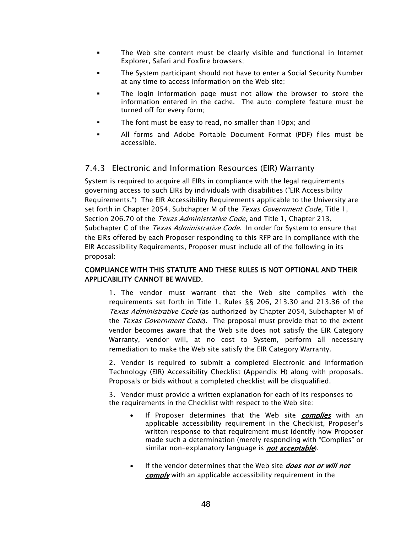- The Web site content must be clearly visible and functional in Internet Explorer, Safari and Foxfire browsers;
- The System participant should not have to enter a Social Security Number at any time to access information on the Web site;
- The login information page must not allow the browser to store the information entered in the cache. The auto-complete feature must be turned off for every form;
- The font must be easy to read, no smaller than 10px; and
- All forms and Adobe Portable Document Format (PDF) files must be accessible.

#### 7.4.3 Electronic and Information Resources (EIR) Warranty

System is required to acquire all EIRs in compliance with the legal requirements governing access to such EIRs by individuals with disabilities ("EIR Accessibility Requirements.") The EIR Accessibility Requirements applicable to the University are set forth in Chapter 2054, Subchapter M of the *Texas Government Code*, Title 1, Section 206.70 of the Texas Administrative Code, and Title 1, Chapter 213, Subchapter C of the *Texas Administrative Code*. In order for System to ensure that the EIRs offered by each Proposer responding to this RFP are in compliance with the EIR Accessibility Requirements, Proposer must include all of the following in its proposal:

#### COMPLIANCE WITH THIS STATUTE AND THESE RULES IS NOT OPTIONAL AND THEIR APPLICABILITY CANNOT BE WAIVED.

1. The vendor must warrant that the Web site complies with the requirements set forth in Title 1, Rules §§ 206, 213.30 and 213.36 of the Texas Administrative Code (as authorized by Chapter 2054, Subchapter M of the Texas Government Code). The proposal must provide that to the extent vendor becomes aware that the Web site does not satisfy the EIR Category Warranty, vendor will, at no cost to System, perform all necessary remediation to make the Web site satisfy the EIR Category Warranty.

2. Vendor is required to submit a completed Electronic and Information Technology (EIR) Accessibility Checklist (Appendix H) along with proposals. Proposals or bids without a completed checklist will be disqualified.

3. Vendor must provide a written explanation for each of its responses to the requirements in the Checklist with respect to the Web site:

- If Proposer determines that the Web site *complies* with an applicable accessibility requirement in the Checklist, Proposer's written response to that requirement must identify how Proposer made such a determination (merely responding with "Complies" or similar non-explanatory language is **not acceptable**).
- If the vendor determines that the Web site *does not or will not* comply with an applicable accessibility requirement in the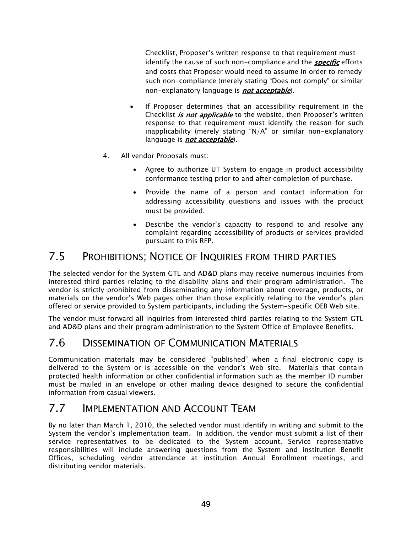Checklist, Proposer's written response to that requirement must identify the cause of such non-compliance and the **specific** efforts and costs that Proposer would need to assume in order to remedy such non-compliance (merely stating "Does not comply" or similar non-explanatory language is *not acceptable*).

- If Proposer determines that an accessibility requirement in the Checklist *is not applicable* to the website, then Proposer's written response to that requirement must identify the reason for such inapplicability (merely stating "N/A" or similar non-explanatory language is *not acceptable*).
- 4. All vendor Proposals must:
	- Agree to authorize UT System to engage in product accessibility conformance testing prior to and after completion of purchase.
	- Provide the name of a person and contact information for addressing accessibility questions and issues with the product must be provided.
	- Describe the vendor's capacity to respond to and resolve any complaint regarding accessibility of products or services provided pursuant to this RFP.

## 7.5 PROHIBITIONS; NOTICE OF INQUIRIES FROM THIRD PARTIES

The selected vendor for the System GTL and AD&D plans may receive numerous inquiries from interested third parties relating to the disability plans and their program administration. The vendor is strictly prohibited from disseminating any information about coverage, products, or materials on the vendor's Web pages other than those explicitly relating to the vendor's plan offered or service provided to System participants, including the System-specific OEB Web site.

The vendor must forward all inquiries from interested third parties relating to the System GTL and AD&D plans and their program administration to the System Office of Employee Benefits.

# 7.6 DISSEMINATION OF COMMUNICATION MATERIALS

Communication materials may be considered "published" when a final electronic copy is delivered to the System or is accessible on the vendor's Web site. Materials that contain protected health information or other confidential information such as the member ID number must be mailed in an envelope or other mailing device designed to secure the confidential information from casual viewers.

# 7.7 IMPLEMENTATION AND ACCOUNT TEAM

By no later than March 1, 2010, the selected vendor must identify in writing and submit to the System the vendor's implementation team. In addition, the vendor must submit a list of their service representatives to be dedicated to the System account. Service representative responsibilities will include answering questions from the System and institution Benefit Offices, scheduling vendor attendance at institution Annual Enrollment meetings, and distributing vendor materials.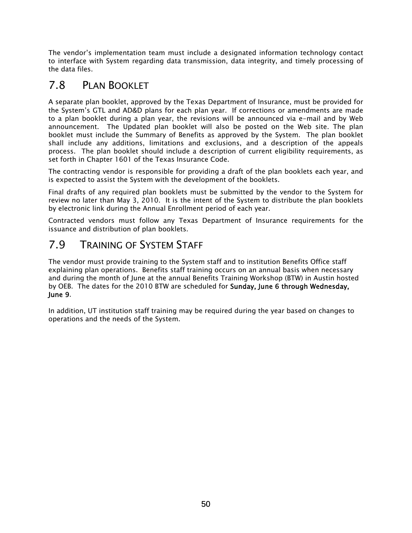The vendor's implementation team must include a designated information technology contact to interface with System regarding data transmission, data integrity, and timely processing of the data files.

# 7.8 PLAN BOOKLET

A separate plan booklet, approved by the Texas Department of Insurance, must be provided for the System's GTL and AD&D plans for each plan year. If corrections or amendments are made to a plan booklet during a plan year, the revisions will be announced via e-mail and by Web announcement. The Updated plan booklet will also be posted on the Web site. The plan booklet must include the Summary of Benefits as approved by the System. The plan booklet shall include any additions, limitations and exclusions, and a description of the appeals process. The plan booklet should include a description of current eligibility requirements, as set forth in Chapter 1601 of the Texas Insurance Code.

The contracting vendor is responsible for providing a draft of the plan booklets each year, and is expected to assist the System with the development of the booklets.

Final drafts of any required plan booklets must be submitted by the vendor to the System for review no later than May 3, 2010. It is the intent of the System to distribute the plan booklets by electronic link during the Annual Enrollment period of each year.

Contracted vendors must follow any Texas Department of Insurance requirements for the issuance and distribution of plan booklets.

# 7.9 TRAINING OF SYSTEM STAFF

The vendor must provide training to the System staff and to institution Benefits Office staff explaining plan operations. Benefits staff training occurs on an annual basis when necessary and during the month of June at the annual Benefits Training Workshop (BTW) in Austin hosted by OEB. The dates for the 2010 BTW are scheduled for Sunday, June 6 through Wednesday, June 9.

In addition, UT institution staff training may be required during the year based on changes to operations and the needs of the System.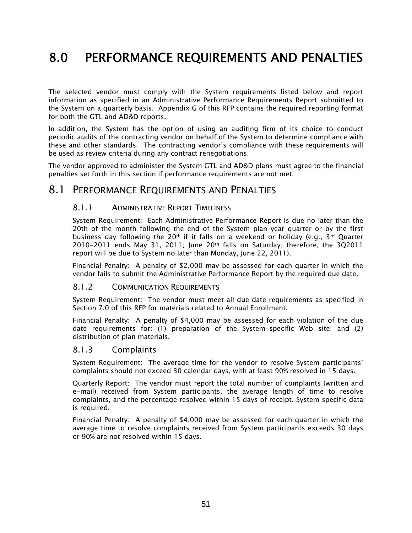# 8.0 PERFORMANCE REQUIREMENTS AND PENALTIES

The selected vendor must comply with the System requirements listed below and report information as specified in an Administrative Performance Requirements Report submitted to the System on a quarterly basis. Appendix G of this RFP contains the required reporting format for both the GTL and AD&D reports.

In addition, the System has the option of using an auditing firm of its choice to conduct periodic audits of the contracting vendor on behalf of the System to determine compliance with these and other standards. The contracting vendor's compliance with these requirements will be used as review criteria during any contract renegotiations.

The vendor approved to administer the System GTL and AD&D plans must agree to the financial penalties set forth in this section if performance requirements are not met.

#### 8.1 PERFORMANCE REQUIREMENTS AND PENALTIES

#### 8.1.1 ADMINISTRATIVE REPORT TIMELINESS

System Requirement: Each Administrative Performance Report is due no later than the 20th of the month following the end of the System plan year quarter or by the first business day following the 20<sup>th</sup> if it falls on a weekend or holiday (e.g., 3<sup>rd</sup> Quarter 2010-2011 ends May 31, 2011; June 20th falls on Saturday; therefore, the 3Q2011 report will be due to System no later than Monday, June 22, 2011).

Financial Penalty: A penalty of \$2,000 may be assessed for each quarter in which the vendor fails to submit the Administrative Performance Report by the required due date.

#### 8.1.2 COMMUNICATION REQUIREMENTS

System Requirement: The vendor must meet all due date requirements as specified in Section 7.0 of this RFP for materials related to Annual Enrollment.

Financial Penalty: A penalty of \$4,000 may be assessed for each violation of the due date requirements for: (1) preparation of the System-specific Web site; and (2) distribution of plan materials.

#### 8.1.3 Complaints

System Requirement: The average time for the vendor to resolve System participants' complaints should not exceed 30 calendar days, with at least 90% resolved in 15 days.

Quarterly Report: The vendor must report the total number of complaints (written and e-mail) received from System participants, the average length of time to resolve complaints, and the percentage resolved within 15 days of receipt. System specific data is required.

Financial Penalty: A penalty of \$4,000 may be assessed for each quarter in which the average time to resolve complaints received from System participants exceeds 30 days or 90% are not resolved within 15 days.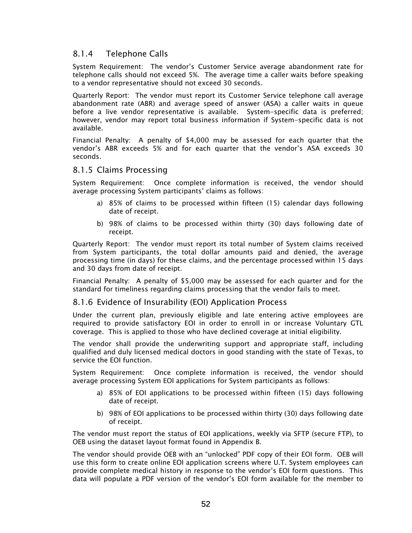#### 8.1.4 Telephone Calls

System Requirement: The vendor's Customer Service average abandonment rate for telephone calls should not exceed 5%. The average time a caller waits before speaking to a vendor representative should not exceed 30 seconds.

Quarterly Report: The vendor must report its Customer Service telephone call average abandonment rate (ABR) and average speed of answer (ASA) a caller waits in queue before a live vendor representative is available. System-specific data is preferred; however, vendor may report total business information if System-specific data is not available.

Financial Penalty: A penalty of \$4,000 may be assessed for each quarter that the vendor's ABR exceeds 5% and for each quarter that the vendor's ASA exceeds 30 seconds.

#### 8.1.5 Claims Processing

System Requirement: Once complete information is received, the vendor should average processing System participants' claims as follows:

- a) 85% of claims to be processed within fifteen (15) calendar days following date of receipt.
- b) 98% of claims to be processed within thirty (30) days following date of receipt.

Quarterly Report: The vendor must report its total number of System claims received from System participants, the total dollar amounts paid and denied, the average processing time (in days) for these claims, and the percentage processed within 15 days and 30 days from date of receipt.

Financial Penalty: A penalty of \$5,000 may be assessed for each quarter and for the standard for timeliness regarding claims processing that the vendor fails to meet.

#### 8.1.6 Evidence of Insurability (EOI) Application Process

Under the current plan, previously eligible and late entering active employees are required to provide satisfactory EOI in order to enroll in or increase Voluntary GTL coverage. This is applied to those who have declined coverage at initial eligibility.

The vendor shall provide the underwriting support and appropriate staff, including qualified and duly licensed medical doctors in good standing with the state of Texas, to service the EOI function.

System Requirement: Once complete information is received, the vendor should average processing System EOI applications for System participants as follows:

- a) 85% of EOI applications to be processed within fifteen (15) days following date of receipt.
- b) 98% of EOI applications to be processed within thirty (30) days following date of receipt.

The vendor must report the status of EOI applications, weekly via SFTP (secure FTP), to OEB using the dataset layout format found in Appendix B.

The vendor should provide OEB with an "unlocked" PDF copy of their EOI form. OEB will use this form to create online EOI application screens where U.T. System employees can provide complete medical history in response to the vendor's EOI form questions. This data will populate a PDF version of the vendor's EOI form available for the member to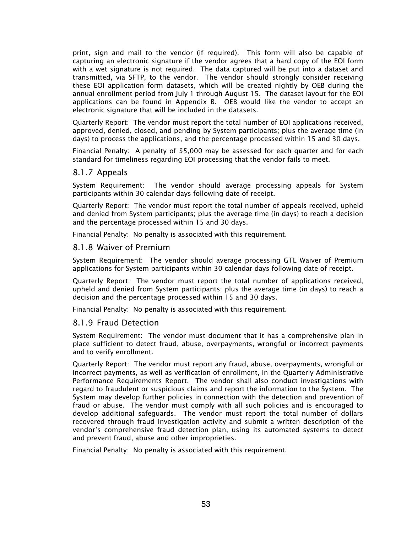print, sign and mail to the vendor (if required). This form will also be capable of capturing an electronic signature if the vendor agrees that a hard copy of the EOI form with a wet signature is not required. The data captured will be put into a dataset and transmitted, via SFTP, to the vendor. The vendor should strongly consider receiving these EOI application form datasets, which will be created nightly by OEB during the annual enrollment period from July 1 through August 15. The dataset layout for the EOI applications can be found in Appendix B. OEB would like the vendor to accept an electronic signature that will be included in the datasets.

Quarterly Report: The vendor must report the total number of EOI applications received, approved, denied, closed, and pending by System participants; plus the average time (in days) to process the applications, and the percentage processed within 15 and 30 days.

Financial Penalty: A penalty of \$5,000 may be assessed for each quarter and for each standard for timeliness regarding EOI processing that the vendor fails to meet.

#### 8.1.7 Appeals

System Requirement: The vendor should average processing appeals for System participants within 30 calendar days following date of receipt.

Quarterly Report: The vendor must report the total number of appeals received, upheld and denied from System participants; plus the average time (in days) to reach a decision and the percentage processed within 15 and 30 days.

Financial Penalty: No penalty is associated with this requirement.

#### 8.1.8 Waiver of Premium

System Requirement: The vendor should average processing GTL Waiver of Premium applications for System participants within 30 calendar days following date of receipt.

Quarterly Report: The vendor must report the total number of applications received, upheld and denied from System participants; plus the average time (in days) to reach a decision and the percentage processed within 15 and 30 days.

Financial Penalty: No penalty is associated with this requirement.

#### 8.1.9 Fraud Detection

System Requirement: The vendor must document that it has a comprehensive plan in place sufficient to detect fraud, abuse, overpayments, wrongful or incorrect payments and to verify enrollment.

Quarterly Report: The vendor must report any fraud, abuse, overpayments, wrongful or incorrect payments, as well as verification of enrollment, in the Quarterly Administrative Performance Requirements Report. The vendor shall also conduct investigations with regard to fraudulent or suspicious claims and report the information to the System. The System may develop further policies in connection with the detection and prevention of fraud or abuse. The vendor must comply with all such policies and is encouraged to develop additional safeguards. The vendor must report the total number of dollars recovered through fraud investigation activity and submit a written description of the vendor's comprehensive fraud detection plan, using its automated systems to detect and prevent fraud, abuse and other improprieties.

Financial Penalty: No penalty is associated with this requirement.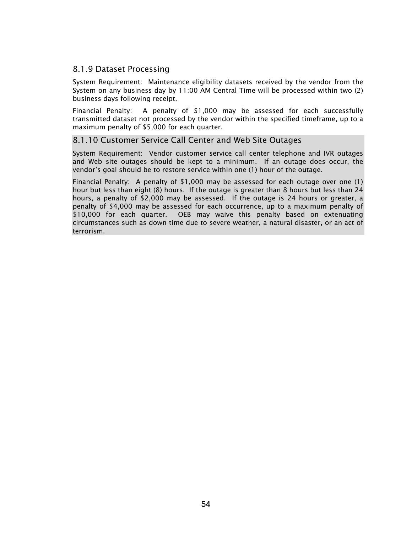#### 8.1.9 Dataset Processing

System Requirement: Maintenance eligibility datasets received by the vendor from the System on any business day by 11:00 AM Central Time will be processed within two (2) business days following receipt.

Financial Penalty: A penalty of \$1,000 may be assessed for each successfully transmitted dataset not processed by the vendor within the specified timeframe, up to a maximum penalty of \$5,000 for each quarter.

#### 8.1.10 Customer Service Call Center and Web Site Outages

System Requirement: Vendor customer service call center telephone and IVR outages and Web site outages should be kept to a minimum. If an outage does occur, the vendor's goal should be to restore service within one (1) hour of the outage.

Financial Penalty: A penalty of \$1,000 may be assessed for each outage over one (1) hour but less than eight (8) hours. If the outage is greater than 8 hours but less than 24 hours, a penalty of \$2,000 may be assessed. If the outage is 24 hours or greater, a penalty of \$4,000 may be assessed for each occurrence, up to a maximum penalty of \$10,000 for each quarter. OEB may waive this penalty based on extenuating circumstances such as down time due to severe weather, a natural disaster, or an act of terrorism.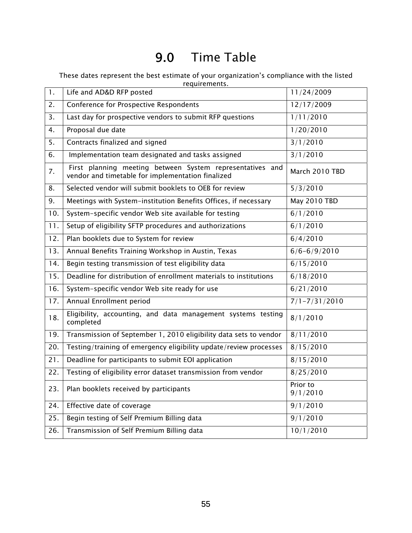# 9.0 Time Table

These dates represent the best estimate of your organization's compliance with the listed requirements.

| 1.  | Life and AD&D RFP posted                                                                                       | 11/24/2009           |
|-----|----------------------------------------------------------------------------------------------------------------|----------------------|
| 2.  | Conference for Prospective Respondents                                                                         | 12/17/2009           |
| 3.  | Last day for prospective vendors to submit RFP questions                                                       | 1/11/2010            |
| 4.  | Proposal due date                                                                                              | 1/20/2010            |
| 5.  | Contracts finalized and signed                                                                                 | 3/1/2010             |
| 6.  | Implementation team designated and tasks assigned                                                              | 3/1/2010             |
| 7.  | First planning meeting between System representatives and<br>vendor and timetable for implementation finalized | March 2010 TBD       |
| 8.  | Selected vendor will submit booklets to OEB for review                                                         | 5/3/2010             |
| 9.  | Meetings with System-institution Benefits Offices, if necessary                                                | May 2010 TBD         |
| 10. | System-specific vendor Web site available for testing                                                          | 6/1/2010             |
| 11. | Setup of eligibility SFTP procedures and authorizations                                                        | 6/1/2010             |
| 12. | Plan booklets due to System for review                                                                         | 6/4/2010             |
| 13. | Annual Benefits Training Workshop in Austin, Texas                                                             | $6/6 - 6/9/2010$     |
| 14. | Begin testing transmission of test eligibility data                                                            | 6/15/2010            |
| 15. | Deadline for distribution of enrollment materials to institutions                                              | 6/18/2010            |
| 16. | System-specific vendor Web site ready for use                                                                  | 6/21/2010            |
| 17. | Annual Enrollment period                                                                                       | $7/1 - 7/31/2010$    |
| 18. | Eligibility, accounting, and data management systems testing<br>completed                                      | 8/1/2010             |
| 19. | Transmission of September 1, 2010 eligibility data sets to vendor                                              | 8/11/2010            |
| 20. | Testing/training of emergency eligibility update/review processes                                              | 8/15/2010            |
| 21. | Deadline for participants to submit EOI application                                                            | 8/15/2010            |
| 22. | Testing of eligibility error dataset transmission from vendor                                                  | 8/25/2010            |
| 23. | Plan booklets received by participants                                                                         | Prior to<br>9/1/2010 |
| 24. | Effective date of coverage                                                                                     | 9/1/2010             |
| 25. | Begin testing of Self Premium Billing data                                                                     | 9/1/2010             |
| 26. | Transmission of Self Premium Billing data                                                                      | 10/1/2010            |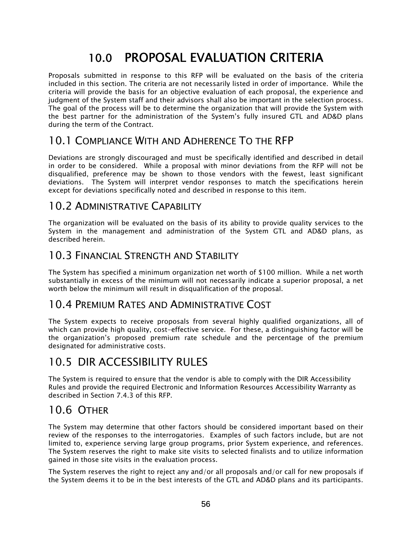# 10.0 PROPOSAL EVALUATION CRITERIA

Proposals submitted in response to this RFP will be evaluated on the basis of the criteria included in this section. The criteria are not necessarily listed in order of importance. While the criteria will provide the basis for an objective evaluation of each proposal, the experience and judgment of the System staff and their advisors shall also be important in the selection process. The goal of the process will be to determine the organization that will provide the System with the best partner for the administration of the System's fully insured GTL and AD&D plans during the term of the Contract.

# 10.1 COMPLIANCE WITH AND ADHERENCE TO THE RFP

Deviations are strongly discouraged and must be specifically identified and described in detail in order to be considered. While a proposal with minor deviations from the RFP will not be disqualified, preference may be shown to those vendors with the fewest, least significant deviations. The System will interpret vendor responses to match the specifications herein except for deviations specifically noted and described in response to this item.

# 10.2 ADMINISTRATIVE CAPABILITY

The organization will be evaluated on the basis of its ability to provide quality services to the System in the management and administration of the System GTL and AD&D plans, as described herein.

# 10.3 FINANCIAL STRENGTH AND STABILITY

The System has specified a minimum organization net worth of \$100 million. While a net worth substantially in excess of the minimum will not necessarily indicate a superior proposal, a net worth below the minimum will result in disqualification of the proposal.

### 10.4 PREMIUM RATES AND ADMINISTRATIVE COST

The System expects to receive proposals from several highly qualified organizations, all of which can provide high quality, cost-effective service. For these, a distinguishing factor will be the organization's proposed premium rate schedule and the percentage of the premium designated for administrative costs.

# 10.5 DIR ACCESSIBILITY RULES

The System is required to ensure that the vendor is able to comply with the DIR Accessibility Rules and provide the required Electronic and Information Resources Accessibility Warranty as described in Section 7.4.3 of this RFP.

# 10.6 OTHER

The System may determine that other factors should be considered important based on their review of the responses to the interrogatories. Examples of such factors include, but are not limited to, experience serving large group programs, prior System experience, and references. The System reserves the right to make site visits to selected finalists and to utilize information gained in those site visits in the evaluation process.

The System reserves the right to reject any and/or all proposals and/or call for new proposals if the System deems it to be in the best interests of the GTL and AD&D plans and its participants.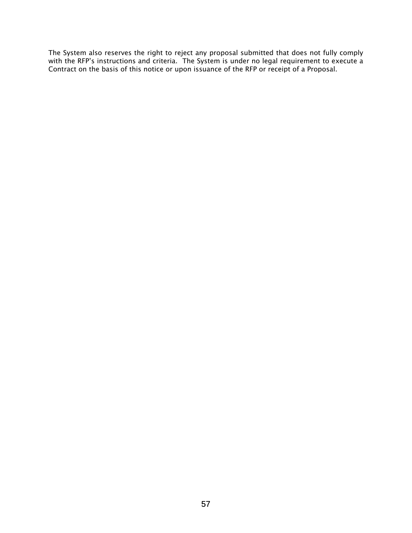The System also reserves the right to reject any proposal submitted that does not fully comply with the RFP's instructions and criteria. The System is under no legal requirement to execute a Contract on the basis of this notice or upon issuance of the RFP or receipt of a Proposal.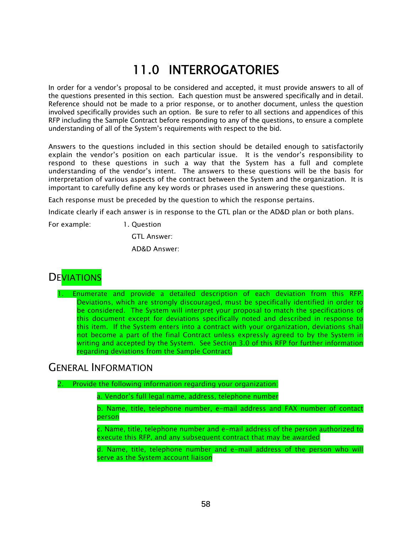# 11.0 INTERROGATORIES

In order for a vendor's proposal to be considered and accepted, it must provide answers to all of the questions presented in this section. Each question must be answered specifically and in detail. Reference should not be made to a prior response, or to another document, unless the question involved specifically provides such an option. Be sure to refer to all sections and appendices of this RFP including the Sample Contract before responding to any of the questions, to ensure a complete understanding of all of the System's requirements with respect to the bid.

Answers to the questions included in this section should be detailed enough to satisfactorily explain the vendor's position on each particular issue. It is the vendor's responsibility to respond to these questions in such a way that the System has a full and complete understanding of the vendor's intent. The answers to these questions will be the basis for interpretation of various aspects of the contract between the System and the organization. It is important to carefully define any key words or phrases used in answering these questions.

Each response must be preceded by the question to which the response pertains.

Indicate clearly if each answer is in response to the GTL plan or the AD&D plan or both plans.

For example: 1. Question

GTL Answer:

AD&D Answer:



1. Enumerate and provide a detailed description of each deviation from this RFP. Deviations, which are strongly discouraged, must be specifically identified in order to be considered. The System will interpret your proposal to match the specifications of this document except for deviations specifically noted and described in response to this item. If the System enters into a contract with your organization, deviations shall not become a part of the final Contract unless expressly agreed to by the System in writing and accepted by the System. See Section 3.0 of this RFP for further information regarding deviations from the Sample Contract.

### GENERAL INFORMATION

2. Provide the following information regarding your organization:

a. Vendor's full legal name, address, telephone number

b. Name, title, telephone number, e-mail address and FAX number of contact person

c. Name, title, telephone number and e-mail address of the person authorized to execute this RFP, and any subsequent contract that may be awarded

d. Name, title, telephone number and e-mail address of the person who will serve as the System account liaison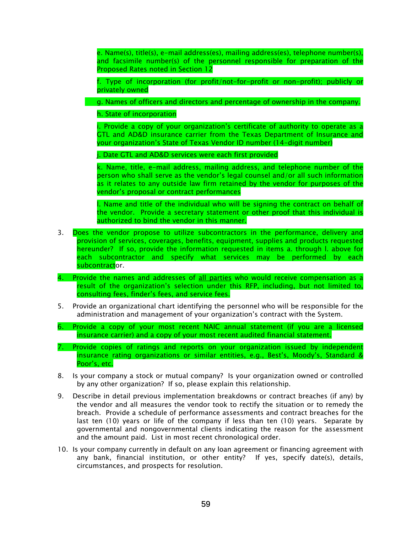e. Name(s), title(s), e-mail address(es), mailing address(es), telephone number(s), and facsimile number(s) of the personnel responsible for preparation of the Proposed Rates noted in Section 12

f. Type of incorporation (for profit/not-for-profit or non-profit); publicly or privately owned

g. Names of officers and directors and percentage of ownership in the company.

h. State of incorporation

i. Provide a copy of your organization's certificate of authority to operate as a GTL and AD&D insurance carrier from the Texas Department of Insurance and your organization's State of Texas Vendor ID number (14-digit number)

j. Date GTL and AD&D services were each first provided

k. Name, title, e-mail address, mailing address, and telephone number of the person who shall serve as the vendor's legal counsel and/or all such information as it relates to any outside law firm retained by the vendor for purposes of the vendor's proposal or contract performances

l. Name and title of the individual who will be signing the contract on behalf of the vendor. Provide a secretary statement or other proof that this individual is authorized to bind the vendor in this manner.

- 3. Does the vendor propose to utilize subcontractors in the performance, delivery and provision of services, coverages, benefits, equipment, supplies and products requested hereunder? If so, provide the information requested in items a. through l. above for each subcontractor and specify what services may be performed by each subcontractor.
- 4. Provide the names and addresses of all parties who would receive compensation as a result of the organization's selection under this RFP, including, but not limited to, consulting fees, finder's fees, and service fees.
- 5. Provide an organizational chart identifying the personnel who will be responsible for the administration and management of your organization's contract with the System.
- 6. Provide a copy of your most recent NAIC annual statement (if you are a licensed insurance carrier) and a copy of your most recent audited financial statement.
- 7. Provide copies of ratings and reports on your organization issued by independent insurance rating organizations or similar entities, e.g., Best's, Moody's, Standard & Poor's, etc.
- 8. Is your company a stock or mutual company? Is your organization owned or controlled by any other organization? If so, please explain this relationship.
- 9. Describe in detail previous implementation breakdowns or contract breaches (if any) by the vendor and all measures the vendor took to rectify the situation or to remedy the breach. Provide a schedule of performance assessments and contract breaches for the last ten (10) years or life of the company if less than ten (10) years. Separate by governmental and nongovernmental clients indicating the reason for the assessment and the amount paid. List in most recent chronological order.
- 10. Is your company currently in default on any loan agreement or financing agreement with any bank, financial institution, or other entity? If yes, specify date(s), details, circumstances, and prospects for resolution.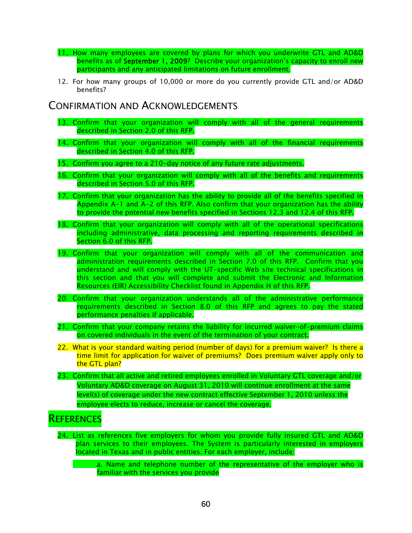- 11. How many employees are covered by plans for which you underwrite GTL and AD&D benefits as of September 1, 2009? Describe your organization's capacity to enroll new participants and any anticipated limitations on future enrollment.
- 12. For how many groups of 10,000 or more do you currently provide GTL and/or AD&D benefits?

### CONFIRMATION AND ACKNOWLEDGEMENTS

- 13. Confirm that your organization will comply with all of the general requirements described in Section 2.0 of this RFP.
- 14. Confirm that your organization will comply with all of the financial requirements described in Section 4.0 of this RFP.
- 15. Confirm you agree to a 210-day notice of any future rate adjustments.
- 16. Confirm that your organization will comply with all of the benefits and requirements described in Section 5.0 of this RFP.
- 17. Confirm that your organization has the ability to provide all of the benefits specified in Appendix A-1 and A-2 of this RFP. Also confirm that your organization has the ability to provide the potential new benefits specified in Sections 12.3 and 12.4 of this RFP.
- 18. Confirm that your organization will comply with all of the operational specifications including administrative, data processing and reporting requirements described in Section 6.0 of this RFP.
- 19. Confirm that your organization will comply with all of the communication and administration requirements described in Section 7.0 of this RFP. Confirm that you understand and will comply with the UT-specific Web site technical specifications in this section and that you will complete and submit the Electronic and Information Resources (EIR) Accessibility Checklist found in Appendix H of this RFP.
- 20. Confirm that your organization understands all of the administrative performance requirements described in Section 8.0 of this RFP and agrees to pay the stated performance penalties if applicable.
- 21. Confirm that your company retains the liability for incurred waiver-of-premium claims on covered individuals in the event of the termination of your contract.
- 22. What is your standard waiting period (number of days) for a premium waiver? Is there a time limit for application for waiver of premiums? Does premium waiver apply only to the GTL plan?
- 23. Confirm that all active and retired employees enrolled in Voluntary GTL coverage and/or Voluntary AD&D coverage on August 31, 2010 will continue enrollment at the same level(s) of coverage under the new contract effective September 1, 2010 unless the employee elects to reduce, increase or cancel the coverage.

# **REFERENCES**

- 24. List as references five employers for whom you provide fully insured GTL and AD&D plan services to their employees. The System is particularly interested in employers located in Texas and in public entities. For each employer, include:
	- a. Name and telephone number of the representative of the employer who is familiar with the services you provide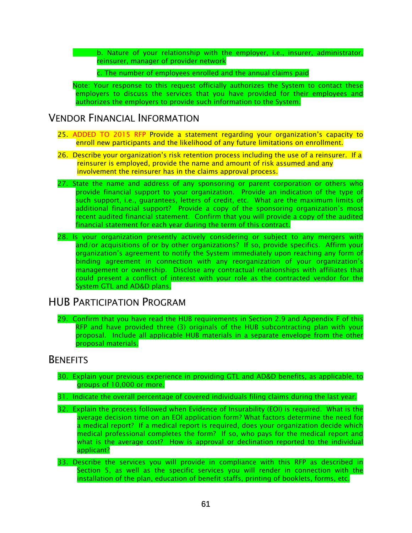b. Nature of your relationship with the employer, i.e., insurer, administrator, reinsurer, manager of provider network

c. The number of employees enrolled and the annual claims paid

Note: Your response to this request officially authorizes the System to contact these employers to discuss the services that you have provided for their employees and authorizes the employers to provide such information to the System.

### VENDOR FINANCIAL INFORMATION

- 25. ADDED TO 2015 RFP Provide a statement regarding your organization's capacity to enroll new participants and the likelihood of any future limitations on enrollment.
- 26. Describe your organization's risk retention process including the use of a reinsurer. If a reinsurer is employed, provide the name and amount of risk assumed and any involvement the reinsurer has in the claims approval process.
- 27. State the name and address of any sponsoring or parent corporation or others who provide financial support to your organization. Provide an indication of the type of such support, i.e., guarantees, letters of credit, etc. What are the maximum limits of additional financial support? Provide a copy of the sponsoring organization's most recent audited financial statement. Confirm that you will provide a copy of the audited financial statement for each year during the term of this contract.
- 28. Is your organization presently actively considering or subject to any mergers with and/or acquisitions of or by other organizations? If so, provide specifics. Affirm your organization's agreement to notify the System immediately upon reaching any form of binding agreement in connection with any reorganization of your organization's management or ownership. Disclose any contractual relationships with affiliates that could present a conflict of interest with your role as the contracted vendor for the System GTL and AD&D plans.

### HUB PARTICIPATION PROGRAM

29. Confirm that you have read the HUB requirements in Section 2.9 and Appendix F of this RFP and have provided three (3) originals of the HUB subcontracting plan with your proposal. Include all applicable HUB materials in a separate envelope from the other proposal materials.

#### **BENEFITS**

- 30. Explain your previous experience in providing GTL and AD&D benefits, as applicable, to groups of 10,000 or more.
- 31. Indicate the overall percentage of covered individuals filing claims during the last year.
- 32. Explain the process followed when Evidence of Insurability (EOI) is required. What is the average decision time on an EOI application form? What factors determine the need for a medical report? If a medical report is required, does your organization decide which medical professional completes the form? If so, who pays for the medical report and what is the average cost? How is approval or declination reported to the individual applicant?
- 33. Describe the services you will provide in compliance with this RFP as described in Section 5, as well as the specific services you will render in connection with the installation of the plan, education of benefit staffs, printing of booklets, forms, etc.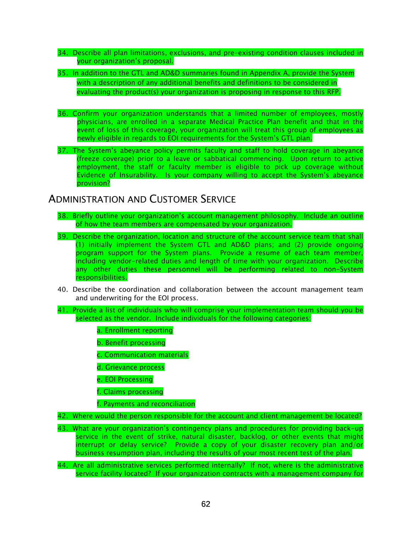- 34. Describe all plan limitations, exclusions, and pre-existing condition clauses included in your organization's proposal.
- 35. In addition to the GTL and AD&D summaries found in Appendix A, provide the System with a description of any additional benefits and definitions to be considered in evaluating the product(s) your organization is proposing in response to this RFP.
- 36. Confirm your organization understands that a limited number of employees, mostly physicians, are enrolled in a separate Medical Practice Plan benefit and that in the event of loss of this coverage, your organization will treat this group of employees as newly eligible in regards to EOI requirements for the System's GTL plan.
- 37. The System's abeyance policy permits faculty and staff to hold coverage in abeyance (freeze coverage) prior to a leave or sabbatical commencing. Upon return to active employment, the staff or faculty member is eligible to pick up coverage without Evidence of Insurability. Is your company willing to accept the System's abeyance provision?

### ADMINISTRATION AND CUSTOMER SERVICE

- 38. Briefly outline your organization's account management philosophy. Include an outline of how the team members are compensated by your organization.
- 39. Describe the organization, location and structure of the account service team that shall (1) initially implement the System GTL and AD&D plans; and (2) provide ongoing program support for the System plans. Provide a resume of each team member, including vendor-related duties and length of time with your organization. Describe any other duties these personnel will be performing related to non-System responsibilities.
- 40. Describe the coordination and collaboration between the account management team and underwriting for the EOI process.
- 41. Provide a list of individuals who will comprise your implementation team should you be selected as the vendor. Include individuals for the following categories:
	- a. Enrollment reporting
	- b. Benefit processing
	- c. Communication materials
	- d. Grievance process
	- e. EOI Processing
	- f. Claims processing
	- f. Payments and reconciliation
- 42. Where would the person responsible for the account and client management be located?
- 43. What are your organization's contingency plans and procedures for providing back-up service in the event of strike, natural disaster, backlog, or other events that might interrupt or delay service? Provide a copy of your disaster recovery plan and/or business resumption plan, including the results of your most recent test of the plan.
- 44. Are all administrative services performed internally? If not, where is the administrative service facility located? If your organization contracts with a management company for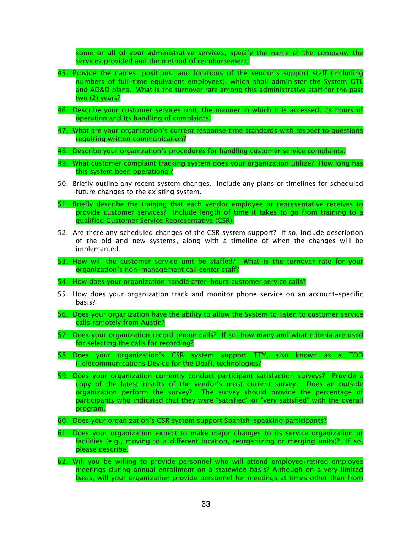some or all of your administrative services, specify the name of the company, the services provided and the method of reimbursement.

- 45. Provide the names, positions, and locations of the vendor's support staff (including numbers of full-time equivalent employees), which shall administer the System GTL and AD&D plans. What is the turnover rate among this administrative staff for the past two (2) years?
- 46. Describe your customer services unit, the manner in which it is accessed, its hours of operation and its handling of complaints.
- 47. What are your organization's current response time standards with respect to questions requiring written communication?
- 48. Describe your organization's procedures for handling customer service complaints.
- 49. What customer complaint tracking system does your organization utilize? How long has this system been operational?
- 50. Briefly outline any recent system changes. Include any plans or timelines for scheduled future changes to the existing system.
- 51. Briefly describe the training that each vendor employee or representative receives to provide customer services? Include length of time it takes to go from training to a qualified Customer Service Representative (CSR).
- 52. Are there any scheduled changes of the CSR system support? If so, include description of the old and new systems, along with a timeline of when the changes will be implemented.
- 53. How will the customer service unit be staffed? What is the turnover rate for your organization's non-management call center staff?
- 54. How does your organization handle after-hours customer service calls?
- 55. How does your organization track and monitor phone service on an account-specific basis?
- 56. Does your organization have the ability to allow the System to listen to customer service calls remotely from Austin?
- 57. Does your organization record phone calls? If so, how many and what criteria are used for selecting the calls for recording?
- 58. Does your organization's CSR system support TTY, also known as a TDD (Telecommunications Device for the Deaf), technologies?
- 59. Does your organization currently conduct participant satisfaction surveys? Provide a copy of the latest results of the vendor's most current survey. Does an outside organization perform the survey? The survey should provide the percentage of participants who indicated that they were "satisfied" or "very satisfied" with the overall program.
- 60. Does your organization's CSR system support Spanish-speaking participants?
- 61. Does your organization expect to make major changes to its service organization or facilities (e.g., moving to a different location, reorganizing or merging units)? If so, please describe.
- 62. Will you be willing to provide personnel who will attend employee/retired employee meetings during annual enrollment on a statewide basis? Although on a very limited basis, will your organization provide personnel for meetings at times other than from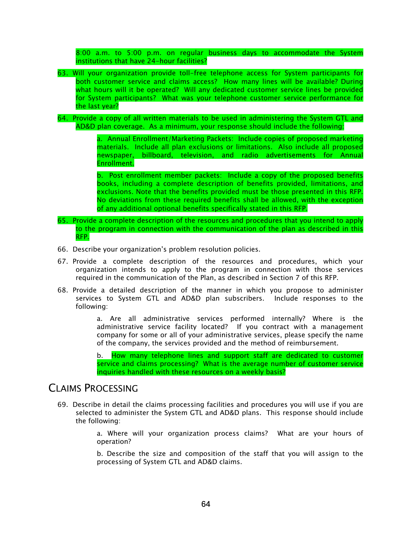8:00 a.m. to 5:00 p.m. on regular business days to accommodate the System institutions that have 24-hour facilities?

- 63. Will your organization provide toll-free telephone access for System participants for both customer service and claims access? How many lines will be available? During what hours will it be operated? Will any dedicated customer service lines be provided for System participants? What was your telephone customer service performance for the last year?
- 64. Provide a copy of all written materials to be used in administering the System GTL and AD&D plan coverage. As a minimum, your response should include the following:

a. Annual Enrollment/Marketing Packets: Include copies of proposed marketing materials. Include all plan exclusions or limitations. Also include all proposed newspaper, billboard, television, and radio advertisements for Annual Enrollment.

b. Post enrollment member packets: Include a copy of the proposed benefits books, including a complete description of benefits provided, limitations, and exclusions. Note that the benefits provided must be those presented in this RFP. No deviations from these required benefits shall be allowed, with the exception of any additional optional benefits specifically stated in this RFP.

- 65. Provide a complete description of the resources and procedures that you intend to apply to the program in connection with the communication of the plan as described in this RFP.
- 66. Describe your organization's problem resolution policies.
- 67. Provide a complete description of the resources and procedures, which your organization intends to apply to the program in connection with those services required in the communication of the Plan, as described in Section 7 of this RFP.
- 68. Provide a detailed description of the manner in which you propose to administer services to System GTL and AD&D plan subscribers. Include responses to the following:

a. Are all administrative services performed internally? Where is the administrative service facility located? If you contract with a management company for some or all of your administrative services, please specify the name of the company, the services provided and the method of reimbursement.

b. How many telephone lines and support staff are dedicated to customer service and claims processing? What is the average number of customer service inquiries handled with these resources on a weekly basis?

### CLAIMS PROCESSING

69. Describe in detail the claims processing facilities and procedures you will use if you are selected to administer the System GTL and AD&D plans. This response should include the following:

> a. Where will your organization process claims? What are your hours of operation?

> b. Describe the size and composition of the staff that you will assign to the processing of System GTL and AD&D claims.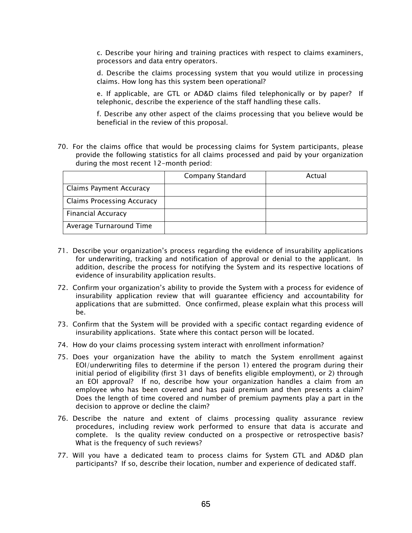c. Describe your hiring and training practices with respect to claims examiners, processors and data entry operators.

d. Describe the claims processing system that you would utilize in processing claims. How long has this system been operational?

e. If applicable, are GTL or AD&D claims filed telephonically or by paper? If telephonic, describe the experience of the staff handling these calls.

f. Describe any other aspect of the claims processing that you believe would be beneficial in the review of this proposal.

70. For the claims office that would be processing claims for System participants, please provide the following statistics for all claims processed and paid by your organization during the most recent 12-month period:

|                                   | Company Standard | Actual |
|-----------------------------------|------------------|--------|
| <b>Claims Payment Accuracy</b>    |                  |        |
| <b>Claims Processing Accuracy</b> |                  |        |
| <b>Financial Accuracy</b>         |                  |        |
| Average Turnaround Time           |                  |        |

- 71. Describe your organization's process regarding the evidence of insurability applications for underwriting, tracking and notification of approval or denial to the applicant. In addition, describe the process for notifying the System and its respective locations of evidence of insurability application results.
- 72. Confirm your organization's ability to provide the System with a process for evidence of insurability application review that will guarantee efficiency and accountability for applications that are submitted. Once confirmed, please explain what this process will be.
- 73. Confirm that the System will be provided with a specific contact regarding evidence of insurability applications. State where this contact person will be located.
- 74. How do your claims processing system interact with enrollment information?
- 75. Does your organization have the ability to match the System enrollment against EOI/underwriting files to determine if the person 1) entered the program during their initial period of eligibility (first 31 days of benefits eligible employment), or 2) through an EOI approval? If no, describe how your organization handles a claim from an employee who has been covered and has paid premium and then presents a claim? Does the length of time covered and number of premium payments play a part in the decision to approve or decline the claim?
- 76. Describe the nature and extent of claims processing quality assurance review procedures, including review work performed to ensure that data is accurate and complete. Is the quality review conducted on a prospective or retrospective basis? What is the frequency of such reviews?
- 77. Will you have a dedicated team to process claims for System GTL and AD&D plan participants? If so, describe their location, number and experience of dedicated staff.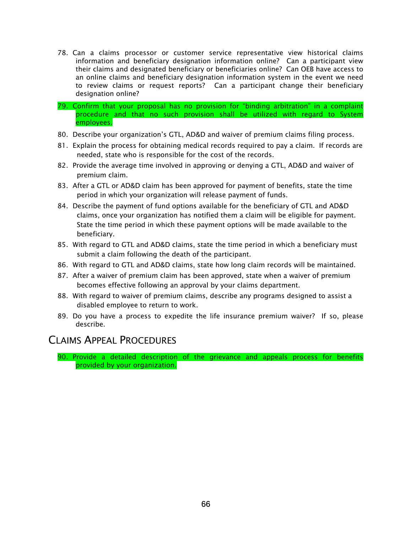- 78. Can a claims processor or customer service representative view historical claims information and beneficiary designation information online? Can a participant view their claims and designated beneficiary or beneficiaries online? Can OEB have access to an online claims and beneficiary designation information system in the event we need to review claims or request reports? Can a participant change their beneficiary designation online?
- 79. Confirm that your proposal has no provision for "binding arbitration" in a complaint procedure and that no such provision shall be utilized with regard to System employees.
- 80. Describe your organization's GTL, AD&D and waiver of premium claims filing process.
- 81. Explain the process for obtaining medical records required to pay a claim. If records are needed, state who is responsible for the cost of the records.
- 82. Provide the average time involved in approving or denying a GTL, AD&D and waiver of premium claim.
- 83. After a GTL or AD&D claim has been approved for payment of benefits, state the time period in which your organization will release payment of funds.
- 84. Describe the payment of fund options available for the beneficiary of GTL and AD&D claims, once your organization has notified them a claim will be eligible for payment. State the time period in which these payment options will be made available to the beneficiary.
- 85. With regard to GTL and AD&D claims, state the time period in which a beneficiary must submit a claim following the death of the participant.
- 86. With regard to GTL and AD&D claims, state how long claim records will be maintained.
- 87. After a waiver of premium claim has been approved, state when a waiver of premium becomes effective following an approval by your claims department.
- 88. With regard to waiver of premium claims, describe any programs designed to assist a disabled employee to return to work.
- 89. Do you have a process to expedite the life insurance premium waiver? If so, please describe.

### CLAIMS APPEAL PROCEDURES

90. Provide a detailed description of the grievance and appeals process for benefits provided by your organization.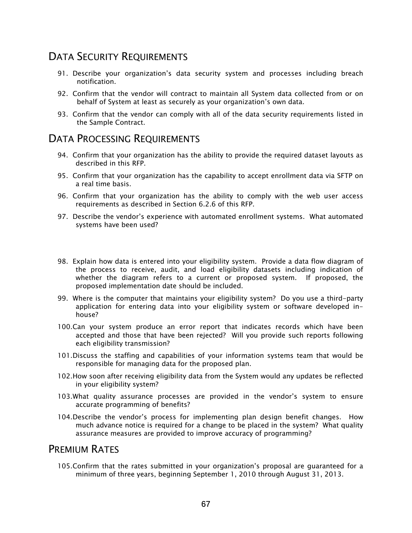## DATA SECURITY REQUIREMENTS

- 91. Describe your organization's data security system and processes including breach notification.
- 92. Confirm that the vendor will contract to maintain all System data collected from or on behalf of System at least as securely as your organization's own data.
- 93. Confirm that the vendor can comply with all of the data security requirements listed in the Sample Contract.

### DATA PROCESSING REQUIREMENTS

- 94. Confirm that your organization has the ability to provide the required dataset layouts as described in this RFP.
- 95. Confirm that your organization has the capability to accept enrollment data via SFTP on a real time basis.
- 96. Confirm that your organization has the ability to comply with the web user access requirements as described in Section 6.2.6 of this RFP.
- 97. Describe the vendor's experience with automated enrollment systems. What automated systems have been used?
- 98. Explain how data is entered into your eligibility system. Provide a data flow diagram of the process to receive, audit, and load eligibility datasets including indication of whether the diagram refers to a current or proposed system. If proposed, the proposed implementation date should be included.
- 99. Where is the computer that maintains your eligibility system? Do you use a third-party application for entering data into your eligibility system or software developed inhouse?
- 100.Can your system produce an error report that indicates records which have been accepted and those that have been rejected? Will you provide such reports following each eligibility transmission?
- 101.Discuss the staffing and capabilities of your information systems team that would be responsible for managing data for the proposed plan.
- 102.How soon after receiving eligibility data from the System would any updates be reflected in your eligibility system?
- 103.What quality assurance processes are provided in the vendor's system to ensure accurate programming of benefits?
- 104.Describe the vendor's process for implementing plan design benefit changes. How much advance notice is required for a change to be placed in the system? What quality assurance measures are provided to improve accuracy of programming?

### PREMIUM RATES

105.Confirm that the rates submitted in your organization's proposal are guaranteed for a minimum of three years, beginning September 1, 2010 through August 31, 2013.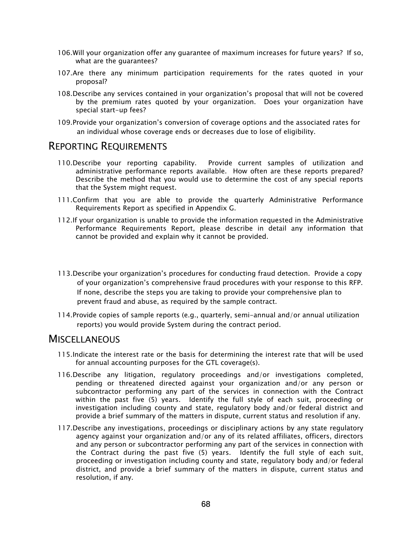- 106.Will your organization offer any guarantee of maximum increases for future years? If so, what are the guarantees?
- 107.Are there any minimum participation requirements for the rates quoted in your proposal?
- 108.Describe any services contained in your organization's proposal that will not be covered by the premium rates quoted by your organization. Does your organization have special start-up fees?
- 109.Provide your organization's conversion of coverage options and the associated rates for an individual whose coverage ends or decreases due to lose of eligibility.

#### REPORTING REQUIREMENTS

- 110.Describe your reporting capability. Provide current samples of utilization and administrative performance reports available. How often are these reports prepared? Describe the method that you would use to determine the cost of any special reports that the System might request.
- 111.Confirm that you are able to provide the quarterly Administrative Performance Requirements Report as specified in Appendix G.
- 112.If your organization is unable to provide the information requested in the Administrative Performance Requirements Report, please describe in detail any information that cannot be provided and explain why it cannot be provided.
- 113.Describe your organization's procedures for conducting fraud detection. Provide a copy of your organization's comprehensive fraud procedures with your response to this RFP. If none, describe the steps you are taking to provide your comprehensive plan to prevent fraud and abuse, as required by the sample contract.
- 114.Provide copies of sample reports (e.g., quarterly, semi-annual and/or annual utilization reports) you would provide System during the contract period.

#### **MISCELLANEOUS**

- 115.Indicate the interest rate or the basis for determining the interest rate that will be used for annual accounting purposes for the GTL coverage(s).
- 116.Describe any litigation, regulatory proceedings and/or investigations completed, pending or threatened directed against your organization and/or any person or subcontractor performing any part of the services in connection with the Contract within the past five (5) years. Identify the full style of each suit, proceeding or investigation including county and state, regulatory body and/or federal district and provide a brief summary of the matters in dispute, current status and resolution if any.
- 117.Describe any investigations, proceedings or disciplinary actions by any state regulatory agency against your organization and/or any of its related affiliates, officers, directors and any person or subcontractor performing any part of the services in connection with the Contract during the past five (5) years. Identify the full style of each suit, proceeding or investigation including county and state, regulatory body and/or federal district, and provide a brief summary of the matters in dispute, current status and resolution, if any.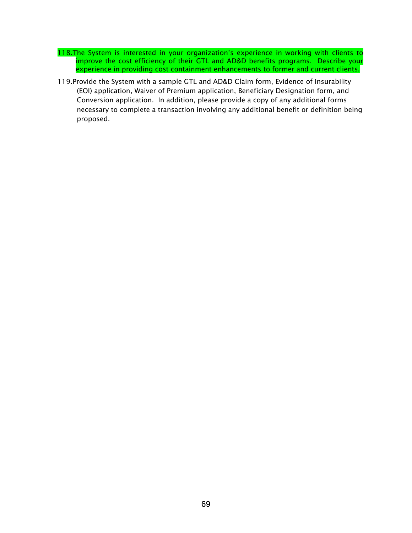- 118.The System is interested in your organization's experience in working with clients to improve the cost efficiency of their GTL and AD&D benefits programs. Describe your experience in providing cost containment enhancements to former and current clients.
- 119.Provide the System with a sample GTL and AD&D Claim form, Evidence of Insurability (EOI) application, Waiver of Premium application, Beneficiary Designation form, and Conversion application. In addition, please provide a copy of any additional forms necessary to complete a transaction involving any additional benefit or definition being proposed.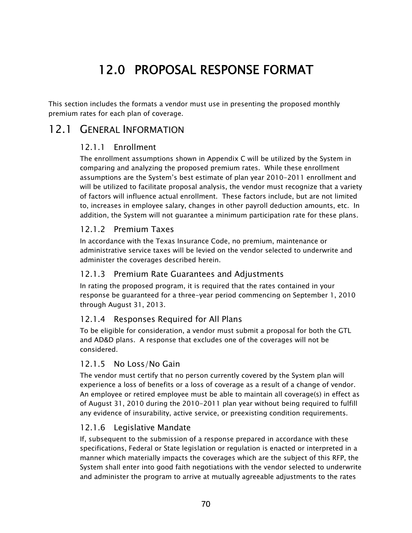# 12.0 PROPOSAL RESPONSE FORMAT

This section includes the formats a vendor must use in presenting the proposed monthly premium rates for each plan of coverage.

### 12.1 GENERAL INFORMATION

#### 12.1.1 Enrollment

The enrollment assumptions shown in Appendix C will be utilized by the System in comparing and analyzing the proposed premium rates. While these enrollment assumptions are the System's best estimate of plan year 2010-2011 enrollment and will be utilized to facilitate proposal analysis, the vendor must recognize that a variety of factors will influence actual enrollment. These factors include, but are not limited to, increases in employee salary, changes in other payroll deduction amounts, etc. In addition, the System will not guarantee a minimum participation rate for these plans.

#### 12.1.2 Premium Taxes

In accordance with the Texas Insurance Code, no premium, maintenance or administrative service taxes will be levied on the vendor selected to underwrite and administer the coverages described herein.

#### 12.1.3 Premium Rate Guarantees and Adjustments

In rating the proposed program, it is required that the rates contained in your response be guaranteed for a three-year period commencing on September 1, 2010 through August 31, 2013.

#### 12.1.4 Responses Required for All Plans

To be eligible for consideration, a vendor must submit a proposal for both the GTL and AD&D plans. A response that excludes one of the coverages will not be considered.

#### 12.1.5 No Loss/No Gain

The vendor must certify that no person currently covered by the System plan will experience a loss of benefits or a loss of coverage as a result of a change of vendor. An employee or retired employee must be able to maintain all coverage(s) in effect as of August 31, 2010 during the 2010-2011 plan year without being required to fulfill any evidence of insurability, active service, or preexisting condition requirements.

#### 12.1.6 Legislative Mandate

If, subsequent to the submission of a response prepared in accordance with these specifications, Federal or State legislation or regulation is enacted or interpreted in a manner which materially impacts the coverages which are the subject of this RFP, the System shall enter into good faith negotiations with the vendor selected to underwrite and administer the program to arrive at mutually agreeable adjustments to the rates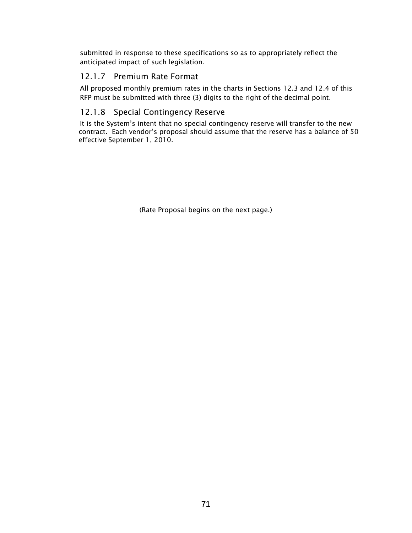submitted in response to these specifications so as to appropriately reflect the anticipated impact of such legislation.

#### 12.1.7 Premium Rate Format

All proposed monthly premium rates in the charts in Sections 12.3 and 12.4 of this RFP must be submitted with three (3) digits to the right of the decimal point.

#### 12.1.8 Special Contingency Reserve

It is the System's intent that no special contingency reserve will transfer to the new contract. Each vendor's proposal should assume that the reserve has a balance of \$0 effective September 1, 2010.

(Rate Proposal begins on the next page.)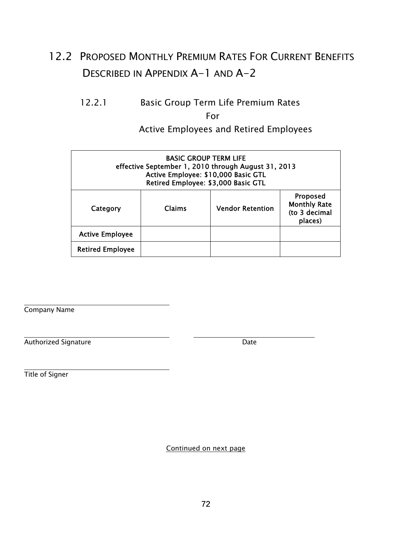# 12.2 PROPOSED MONTHLY PREMIUM RATES FOR CURRENT BENEFITS DESCRIBED IN APPENDIX A-1 AND A-2

# 12.2.1 Basic Group Term Life Premium Rates

For

Active Employees and Retired Employees

| <b>BASIC GROUP TERM LIFE</b><br>effective September 1, 2010 through August 31, 2013<br>Active Employee: \$10,000 Basic GTL<br>Retired Employee: \$3,000 Basic GTL |        |                         |                                                             |  |  |  |
|-------------------------------------------------------------------------------------------------------------------------------------------------------------------|--------|-------------------------|-------------------------------------------------------------|--|--|--|
| Category                                                                                                                                                          | Claims | <b>Vendor Retention</b> | Proposed<br><b>Monthly Rate</b><br>(to 3 decimal<br>places) |  |  |  |
| <b>Active Employee</b>                                                                                                                                            |        |                         |                                                             |  |  |  |
| <b>Retired Employee</b>                                                                                                                                           |        |                         |                                                             |  |  |  |

Company Name

Authorized Signature  $\qquad \qquad$  Date

Title of Signer

Continued on next page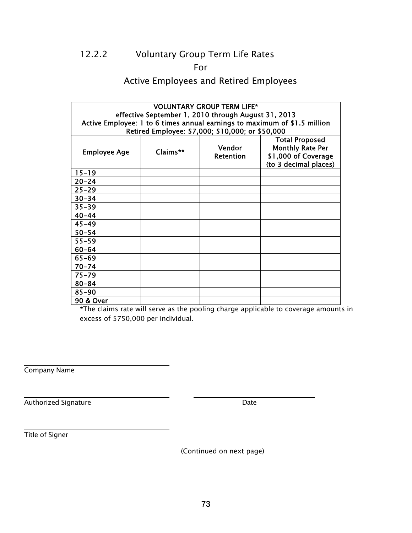### 12.2.2 Voluntary Group Term Life Rates

For

#### Active Employees and Retired Employees

|                     | <b>VOLUNTARY GROUP TERM LIFE*</b> |                                                     |                                                                                                  |
|---------------------|-----------------------------------|-----------------------------------------------------|--------------------------------------------------------------------------------------------------|
|                     |                                   | effective September 1, 2010 through August 31, 2013 |                                                                                                  |
|                     |                                   |                                                     | Active Employee: 1 to 6 times annual earnings to maximum of \$1.5 million                        |
|                     |                                   | Retired Employee: \$7,000; \$10,000; or \$50,000    |                                                                                                  |
| <b>Employee Age</b> | Claims**                          | Vendor<br>Retention                                 | <b>Total Proposed</b><br><b>Monthly Rate Per</b><br>\$1,000 of Coverage<br>(to 3 decimal places) |
| $15 - 19$           |                                   |                                                     |                                                                                                  |
| $20 - 24$           |                                   |                                                     |                                                                                                  |
| $25 - 29$           |                                   |                                                     |                                                                                                  |
| $30 - 34$           |                                   |                                                     |                                                                                                  |
| $35 - 39$           |                                   |                                                     |                                                                                                  |
| $40 - 44$           |                                   |                                                     |                                                                                                  |
| $45 - 49$           |                                   |                                                     |                                                                                                  |
| $50 - 54$           |                                   |                                                     |                                                                                                  |
| $55 - 59$           |                                   |                                                     |                                                                                                  |
| $60 - 64$           |                                   |                                                     |                                                                                                  |
| $65 - 69$           |                                   |                                                     |                                                                                                  |
| $70 - 74$           |                                   |                                                     |                                                                                                  |
| $75 - 79$           |                                   |                                                     |                                                                                                  |
| $80 - 84$           |                                   |                                                     |                                                                                                  |
| $85 - 90$           |                                   |                                                     |                                                                                                  |
| 90 & Over           |                                   |                                                     |                                                                                                  |

\*The claims rate will serve as the pooling charge applicable to coverage amounts in excess of \$750,000 per individual.

Company Name

 $\overline{a}$ 

Authorized Signature  $\qquad \qquad$  Date

Title of Signer

(Continued on next page)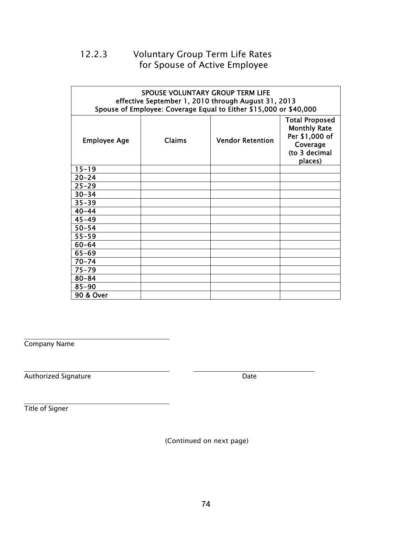### 12.2.3 Voluntary Group Term Life Rates for Spouse of Active Employee

|                     | <b>SPOUSE VOLUNTARY GROUP TERM LIFE</b> | effective September 1, 2010 through August 31, 2013<br>Spouse of Employee: Coverage Equal to Either \$15,000 or \$40,000 |                                                                                                        |
|---------------------|-----------------------------------------|--------------------------------------------------------------------------------------------------------------------------|--------------------------------------------------------------------------------------------------------|
| <b>Employee Age</b> | <b>Claims</b>                           | <b>Vendor Retention</b>                                                                                                  | <b>Total Proposed</b><br><b>Monthly Rate</b><br>Per \$1,000 of<br>Coverage<br>(to 3 decimal<br>places) |
| $15 - 19$           |                                         |                                                                                                                          |                                                                                                        |
| $20 - 24$           |                                         |                                                                                                                          |                                                                                                        |
| $25 - 29$           |                                         |                                                                                                                          |                                                                                                        |
| $30 - 34$           |                                         |                                                                                                                          |                                                                                                        |
| $35 - 39$           |                                         |                                                                                                                          |                                                                                                        |
| $40 - 44$           |                                         |                                                                                                                          |                                                                                                        |
| $45 - 49$           |                                         |                                                                                                                          |                                                                                                        |
| $50 - 54$           |                                         |                                                                                                                          |                                                                                                        |
| $55 - 59$           |                                         |                                                                                                                          |                                                                                                        |
| $60 - 64$           |                                         |                                                                                                                          |                                                                                                        |
| $65 - 69$           |                                         |                                                                                                                          |                                                                                                        |
| $70 - 74$           |                                         |                                                                                                                          |                                                                                                        |
| $75 - 79$           |                                         |                                                                                                                          |                                                                                                        |
| $80 - 84$           |                                         |                                                                                                                          |                                                                                                        |
| $85 - 90$           |                                         |                                                                                                                          |                                                                                                        |
| 90 & Over           |                                         |                                                                                                                          |                                                                                                        |

Company Name

Authorized Signature  $\qquad \qquad$  Date

Title of Signer

(Continued on next page)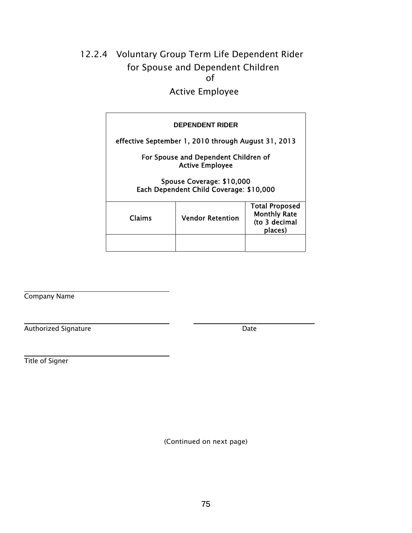## 12.2.4 Voluntary Group Term Life Dependent Rider for Spouse and Dependent Children of

Active Employee

|        | <b>DEPENDENT RIDER</b>                                               |                                                                          |
|--------|----------------------------------------------------------------------|--------------------------------------------------------------------------|
|        | effective September 1, 2010 through August 31, 2013                  |                                                                          |
|        | For Spouse and Dependent Children of<br><b>Active Employee</b>       |                                                                          |
|        | Spouse Coverage: \$10,000<br>Each Dependent Child Coverage: \$10,000 |                                                                          |
| Claims | <b>Vendor Retention</b>                                              | <b>Total Proposed</b><br><b>Monthly Rate</b><br>(to 3 decimal<br>places) |
|        |                                                                      |                                                                          |

Company Name

Authorized Signature  $\qquad \qquad$  Date

Title of Signer

(Continued on next page)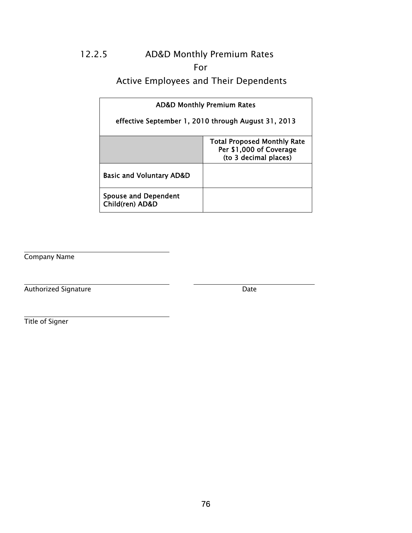### 12.2.5 AD&D Monthly Premium Rates

#### For

#### Active Employees and Their Dependents

|                                                | <b>AD&amp;D Monthly Premium Rates</b>                                                  |
|------------------------------------------------|----------------------------------------------------------------------------------------|
|                                                | effective September 1, 2010 through August 31, 2013                                    |
|                                                | <b>Total Proposed Monthly Rate</b><br>Per \$1,000 of Coverage<br>(to 3 decimal places) |
| <b>Basic and Voluntary AD&amp;D</b>            |                                                                                        |
| <b>Spouse and Dependent</b><br>Child(ren) AD&D |                                                                                        |

Company Name

Authorized Signature Date

Title of Signer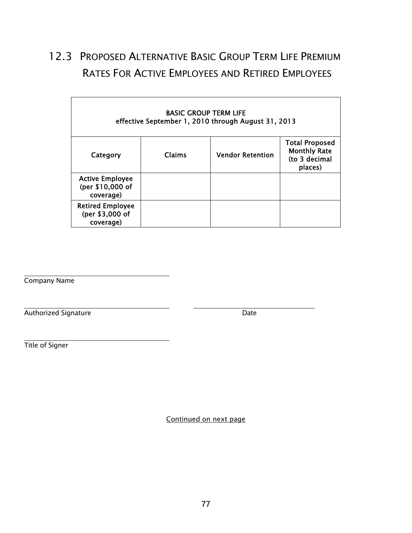## 12.3 PROPOSED ALTERNATIVE BASIC GROUP TERM LIFE PREMIUM RATES FOR ACTIVE EMPLOYEES AND RETIRED EMPLOYEES

|                                                         | <b>BASIC GROUP TERM LIFE</b> | effective September 1, 2010 through August 31, 2013 |                                                                          |
|---------------------------------------------------------|------------------------------|-----------------------------------------------------|--------------------------------------------------------------------------|
| Category                                                | Claims                       | <b>Vendor Retention</b>                             | <b>Total Proposed</b><br><b>Monthly Rate</b><br>(to 3 decimal<br>places) |
| <b>Active Employee</b><br>(per \$10,000 of<br>coverage) |                              |                                                     |                                                                          |
| <b>Retired Employee</b><br>(per \$3,000 of<br>coverage) |                              |                                                     |                                                                          |

Company Name

Authorized Signature  $\blacksquare$ 

Title of Signer

Continued on next page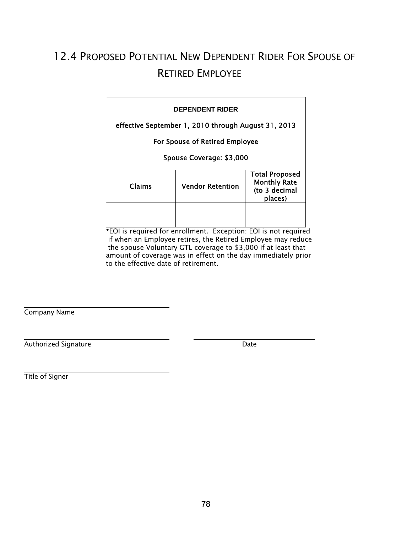## 12.4 PROPOSED POTENTIAL NEW DEPENDENT RIDER FOR SPOUSE OF RETIRED EMPLOYEE

|        | <b>DEPENDENT RIDER</b>                              |                                                                          |
|--------|-----------------------------------------------------|--------------------------------------------------------------------------|
|        | effective September 1, 2010 through August 31, 2013 |                                                                          |
|        | For Spouse of Retired Employee                      |                                                                          |
|        | Spouse Coverage: \$3,000                            |                                                                          |
| Claims | <b>Vendor Retention</b>                             | <b>Total Proposed</b><br><b>Monthly Rate</b><br>(to 3 decimal<br>places) |
|        | the state of the control                            | $F \cap F$                                                               |

\*EOI is required for enrollment. Exception: EOI is not required if when an Employee retires, the Retired Employee may reduce the spouse Voluntary GTL coverage to \$3,000 if at least that amount of coverage was in effect on the day immediately prior to the effective date of retirement.

Company Name

 $\overline{a}$ 

Authorized Signature Date

Title of Signer